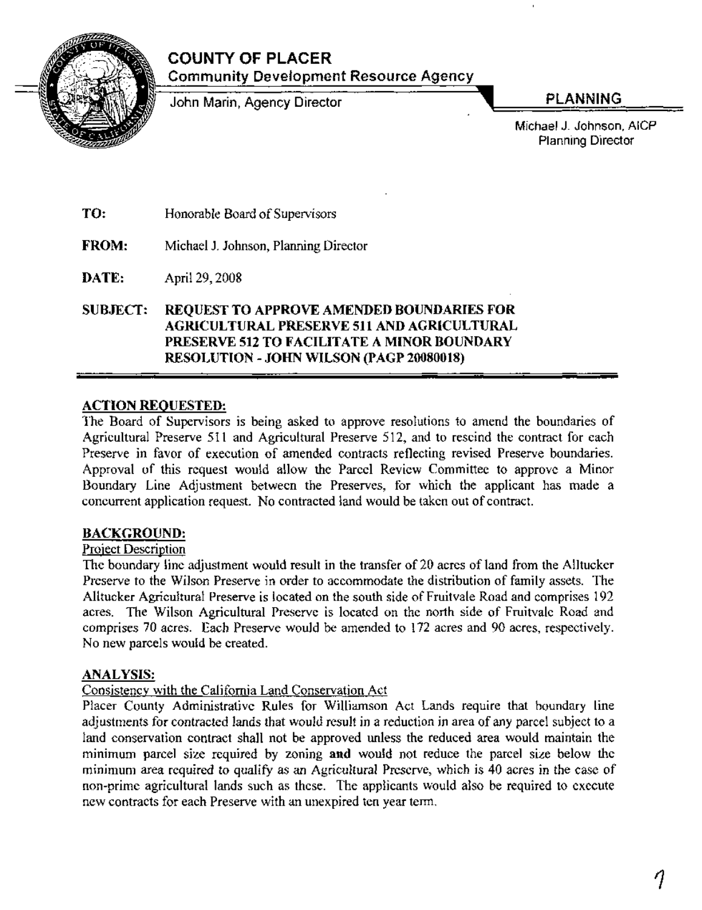

### **COUNTY OF PLACER** Community Development Resource Agency

John Marin, Agency Director **PLANNING** 

Michael J. Johnson, AICP Planning Director

TO: Honorable Board of Supervisors

FROM: Michael 1. Johnson, Planning Director

DATE: April 29, 2008

SUBJECT: REQUEST TO APPROVE AMENDED BOUNDARIES FOR AGRICULTURAL PRESERVE 511 AND AGRICULTURAL PRESERVE 512 TO FACILITATE A MINOR BOUNDARY RESOLUTION - JOHN WILSON (PAGP 20080018)

### ACTION REQUESTED:

The Board of Supervisors is being asked to approve resolutions to amend the boundaries of Agricultural Preserve 511 and Agricultural Preserve 512, and to rescind the contract for each Preserve in favor of execution of amended contracts reflecting revised Preserve boundaries. Approval of this request would allow the Parcel Review Committee to approve a Minor Boundary Line Adjustment between the Preserves, for which the applicant has made a concurrent application request. No contracted land would be taken out of contract.

### BACKGROUND:

### Project Description

The boundary line adjustment would result in the transfer of 20 acres of land from the Alltucker Preserve to the Wilson Preserve in order to accommodate the distribution of family assets. The Alltucker Agricultural Preserve is located on the south side of Fruitvale Road and comprises 192 acres. The Wilson Agricultural Preserve is located on the north side of Fruitvale Road and comprises 70 acres. Each Preserve would be amended to 172 acres and 90 acres, respectively. No new parcels would be created.

### ANALYSIS:

### Consistency with the California Land Conservation Act

Placer County Administrative Rules for Williamson Act Lands require that boundary line adjustments for contracted lands that would result in a reduction in area of any parcel subject to a land conservation contract shall not be approved unless the reduced area would maintain the minimum parcel size required by zoning and would not reduce the parcel size below the minimum area required to qualify as an Agricultural Preserve, which is 40 acres in the case of non-prime agricultural lands such as these. The applicants would also be required to execute new contracts for each Preserve with an unexpired ten year term.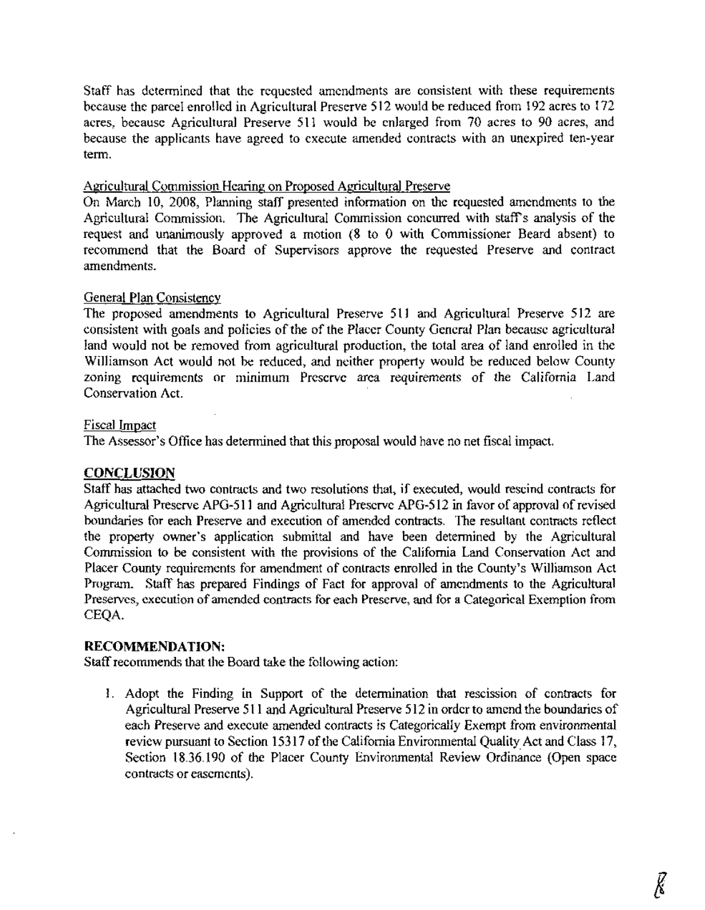Staff has determined that the requested amendments are consistent with these requirements because the parcel enrolled in Agricultural Preserve 512 would be reduced from 192 acres to 172 acres, because Agricultural Preserve 511 would be enlarged from 70 acres to 90 acres, and because the applicants have agreed to execute amended contracts with an unexpired ten-year term.

### Agricultural Commission Hearing on Proposed Agricultural Preserve

On March 10, 2008, Planning staff presented information on the requested amendments to the Agricultural Commission. The Agricultural Commission concurred with staff's analysis of the request and unanimously approved a motion (8 to 0 with Commissioner Beard absent) to recommend that the Board of Supervisors approve the requested Preserve and contract amendments.

### General Plan Consistency

The proposed amendments to Agricultural Preserve 511 and Agricultural Preserve 512 are consistent with goals and policies of the of the Placer County General Plan because agricultural land would not be removed from agricultural production, the total area of land enrolled in the Williamson Act would not be reduced, and neither property would be reduced below County zoning requirements or minimum Preserve area requirements of the California Land Conservation Act.

### Fiscal Impact

The Assessor's Office has determined that this proposal would have no net fiscal impact.

### **CONCLUSION**

Staff has attached two contracts and two resolutions that, if executed, would rescind contracts for Agricultural Preserve APG-511 and Agricultural Preserve APG-512 in favor of approval of revised boundaries for each Preserve and execution of amended contracts. The resultant contracts reflect the property owner's application submittal and have been determined by the Agricultural Commission to be consistent with the provisions of the California Land Conservation Act and Placer County requirements for amendment of contracts enrolled in the County's Williamson Act Program. Staff has prepared Findings of Fact for approval of amendments to the Agricultural Preserves, execution of amended contracts for each Preserve, and for a Categorical Exemption from CEQA.

### **RECOMMENDATION:**

Staff recommends that the Board take the following action:

1. Adopt the Finding in Support of the determination that rescission of contracts for Agricultural Preserve 511 and Agricultural Preserve 512 in order to amend the boundaries of each Preserve and execute amended contracts is Categorically Exempt from environmental review pursuant to Section 15317 of the California Environmental Quality Act and Class 17, Section 18.36.190 of the Placer County Environmental Review Ordinance (Open space contracts or easements).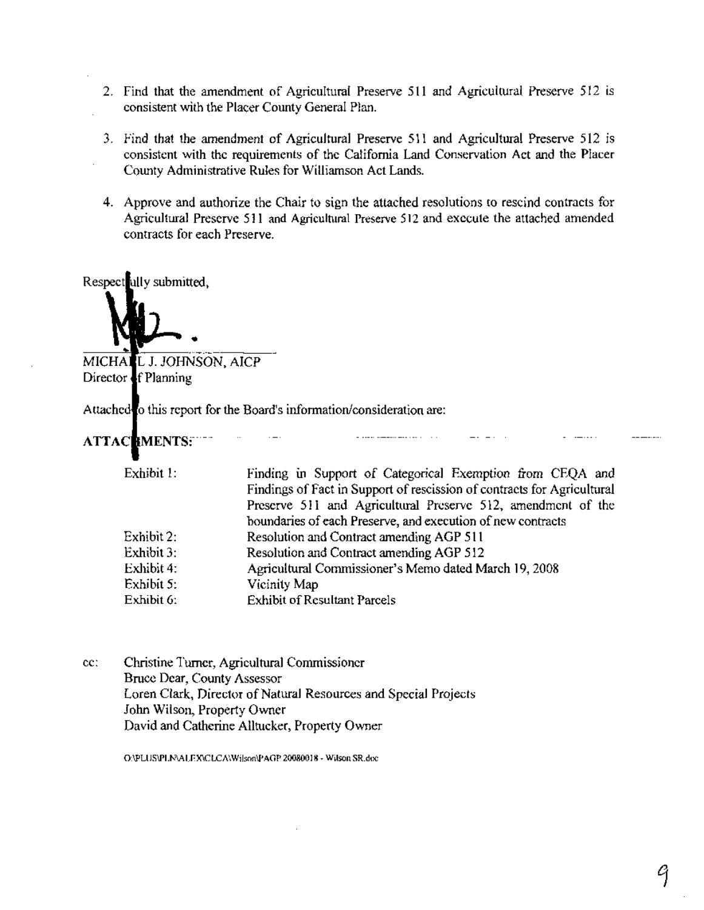- 2. Find that the amendment of Agricultural Preserve 511 and Agricultural Preserve 512 is consistent with the Placer County General Plan.
- 3. Find that the amendment of Agricultural Preserve 511 and Agricultural Preserve 512 is consistent with the requirements of the California Land Conservation Act and the Placer County Administrative Rules for Williamson Act Lands.
- 4. Approve and authorize the Chair to sign the attached resolutions to rescind contracts for Agricultural Preserve 511 and Agricultural Preserve 512 and execute the attached amended contracts for each Preserve.

Respect ully submitted,

•

MICHALL J. JOHNSON, AICP Director f Planning

Attached to this report for the Board's information/consideration are:

### ---------ATTA:C MENTS:---- -----------------------------~-------------------------~---------------~--

| Exhibit 1: | Finding in Support of Categorical Exemption from CEQA and               |
|------------|-------------------------------------------------------------------------|
|            | Findings of Fact in Support of rescission of contracts for Agricultural |
|            | Preserve 511 and Agricultural Preserve 512, amendment of the            |
|            | boundaries of each Preserve, and execution of new contracts             |
| Exhibit 2: | Resolution and Contract amending AGP 511                                |
| Exhibit 3: | Resolution and Contract amending AGP 512                                |
| Exhibit 4: | Agricultural Commissioner's Memo dated March 19, 2008                   |
| Exhibit 5: | Vicinity Map                                                            |
| Exhibit 6: | <b>Exhibit of Resultant Parcels</b>                                     |
|            |                                                                         |

cc: Christine Turner, Agricultural Commissioner Bruce Dear, County Assessor Loren Clark, Director of Natural Resources and Special Projects John Wilson, Property Owner David and Catherine Alltucker, Property Owner

O:\PLUS\PLN\ALEX\CLCA\Wilson\PAGP 20080018 - Wilson SR.doc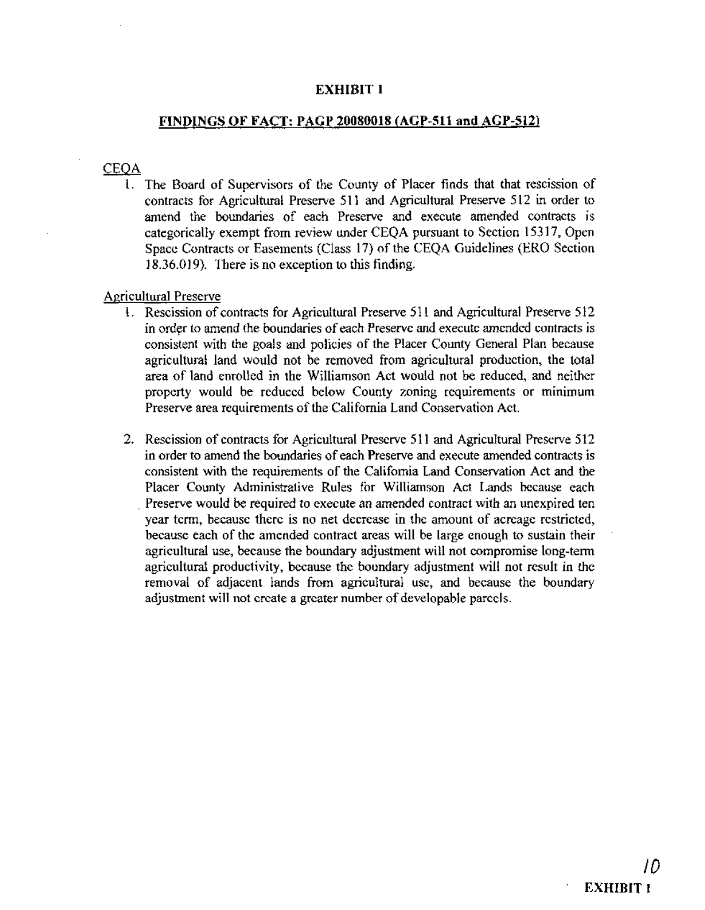### EXHIBIT 1

### FINDINGS OF FACT: PAGP 20080018 (AGP-511 and AGP-512)

### CEQA

1. The Board of Supervisors of the County of Placer finds that that rescission of contracts for Agricultural Preserve 511 and Agricultural Preserve 512 in order to amend the boundaries of each Preserve and execute amended contracts is categorically exempt from review under CEQA pursuant to Section 15317, Open Space Contracts or Easements (Class 17) of the CEQA Guidelines (ERO Section 18.36.019). There is no exception to this finding.

### Agricultural Preserve

- 1. Rescission of contracts for Agricultural Preserve 511 and Agricultural Preserve 512 in order to amend the boundaries of each Preserve and execute amended contracts is consistent with the goals and policies of the Placer County General Plan because agricultural land would not be removed from agricultural production, the total area of land enrolled in the Williamson Act would not be reduced, and neither property would be reduced below County zoning requirements or minimum Preserve area requirements of the California Land Conservation Act.
- 2. Rescission of contracts for Agricultural Preserve 511 and Agricultural Preserve 512 in order to amend the boundaries of each Preserve and execute amended contracts is consistent with the requirements of the California Land Conservation Act and the Placer County Administrative Rules for Williamson Act Lands because each . Preserve would be required to execute an amended contract with an unexpired ten year term, because there is no net decrease in the amount of acreage restricted, because each of the amended contract areas will be large enough to sustain their agricultural use, because the boundary adjustment will not compromise long-term agricultural productivity, because the boundary adjustment will not result in the removal of adjacent lands from agricultural use, and because the boundary adjustment will not create a greater number of developable parcels.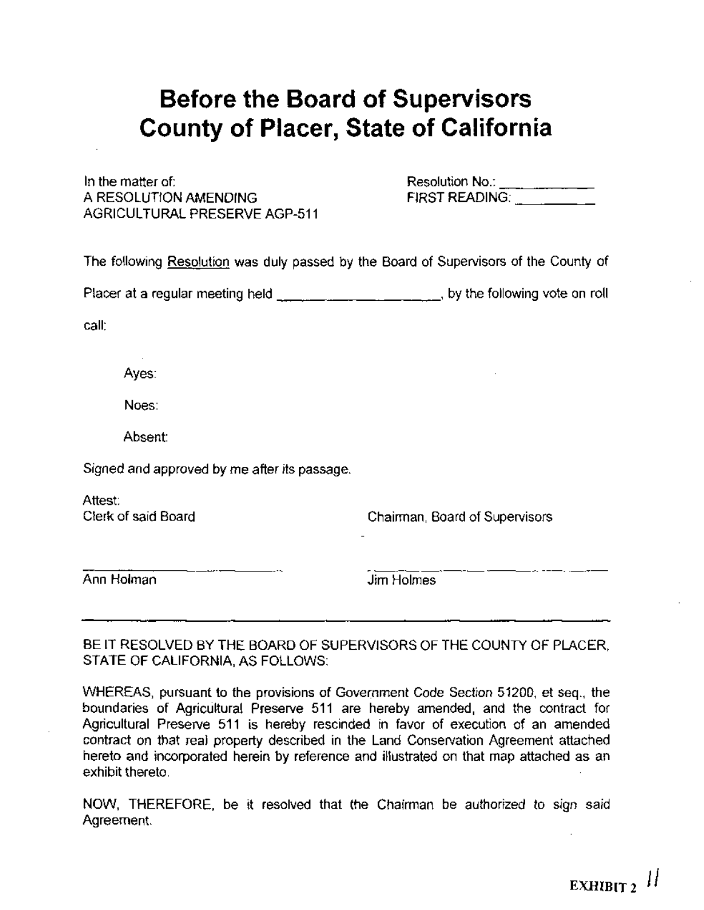# **Before the Board of Supervisors County of Placer, State of California**

In the matter of: A RESOLUTION AMENDING AGRICULTURAL PRESERVE AGP-511 Resolution No.: \_ FIRST READING: \_

The following Resolution was duly passed by the Board of Supervisors of the County of

Placer at a regular meeting held \_\_\_\_\_\_\_\_\_\_\_\_\_\_\_\_\_\_\_\_\_\_\_, by the following vote on roll

call:

Ayes:

Noes:

Absent:

Signed and approved by me after its passage.

Attest: Clerk of said Board

Chairman, Board of Supervisors

Ann Holman

Jim Holmes

BE IT RESOLVED BY THE BOARD OF SUPERVISORS OF THE COUNTY OF PLACER, STATE OF CALIFORNIA, AS FOLLOWS:

WHEREAS, pursuant to the provisions of Govemment Code Section 51200, et seq., the boundaries of Agricultural Preserve 511 are hereby amended, and the contract for Agricultural Preserve 511 is hereby rescinded in favor of execution of an amended contract on that real property described in the Land Conservation Agreement attached hereto and incorporated herein by reference and illustrated on that map attached as an exhibit thereto.

NOW, THEREFORE, be it resolved that the Chairman be authorized to sign said Agreement.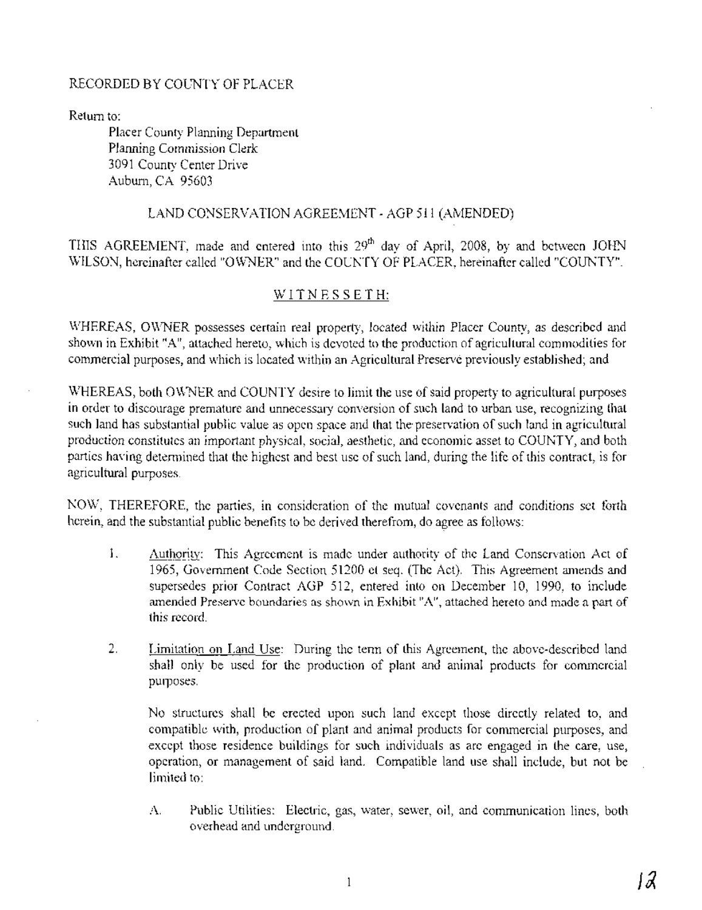### RECORDED BY COUNTY OF PLACER

Return to:

Placer County Planning Department Planning Commission Clerk 3091 County Center Drive Auburn, CA 95603

### LAND CONSERVATION AGREEMENT - AGP 511 (AMENDED)

THIS AGREEMENT, made and entered into this  $29<sup>th</sup>$  day of April, 2008, by and between JOHN WILSON, hereinafter called "OWNER" and the COUNTY OF PLACER, hereinafter called "COUNTY".

### WITNESSETH:

WHEREAS, OWNER possesses certain real property, located within Placer County, as described and shown in Exhibit "A", attached hereto, which is devoted to the production of agricultural commodities for commercial purposes, and which is located within an Agricultural Preserve previously established; and

WHEREAS, both OWNER and COUNTY desire to limit the use of said property to agricultural purposes in order to discourage premature and unnecessary conversion of such land to urban use, recognizing that such land has substantial public value as open space and that the preservation of such land in agricultural production constitutes an important physical, social, aesthetic, and economic asset to COUNTY, and both parties having determined that the highest and best use of such land, during the life of this contract, is for agricultural purposes.

NOW, THEREFORE, the parties, in consideration of the mutual covenants and conditions set forth herein, and the substantial public benefits to be derived therefrom, do agree as follows:

- 1. Authority: This Agreement is made under authority of the Land Conservation Act of 1965, Government Code Section 51200 et seq. (The Act). This Agreement amends and supersedes prior Contract AGP 512, entered into on December 10, 1990, to include amended Preserve boundaries as shown in Exhibit "A", attached hereto and made a part of this record.
- 2. Limitation on Land Use: During the term of this Agreement, the above-described land shall only be used for the production of plant and animal products for commercial purposes.

No structures shall be erected upon such land except those directly related to, and compatible with, production of plant and animal products for commercial purposes, and except those residence buildings for such individuals as are engaged in the care, use, operation, or management of said land. Compatible land use shall include, but not be limited to:

A. . Public Utilities: Electric, gas, water, sewer, oil, and communication lines, both overhead and underground.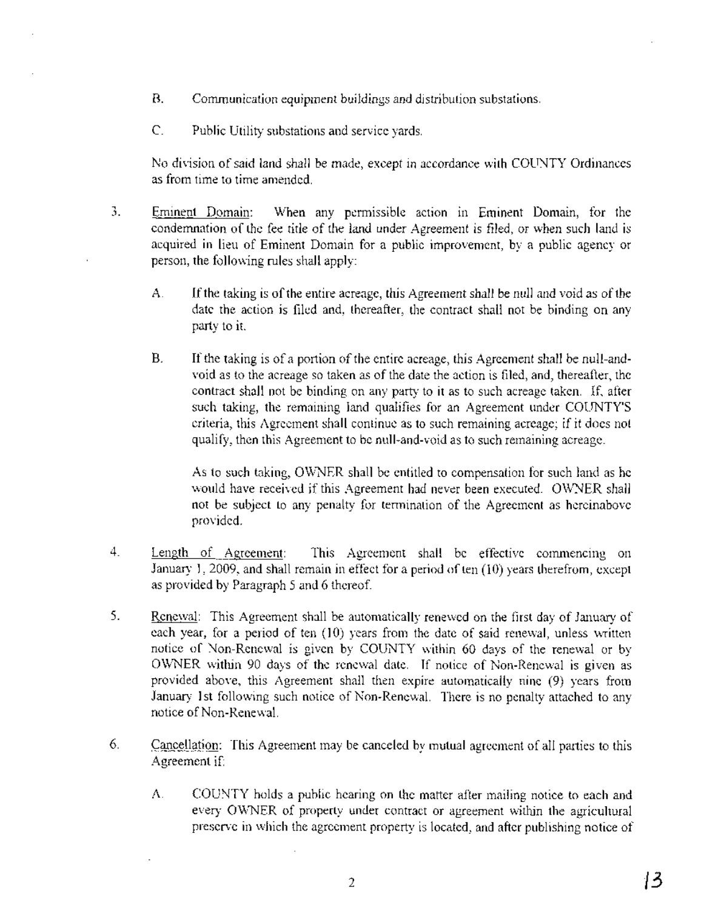- B. Communication equipment buildings and distribution substations.
- C. Public Utility substations and service yards.

No division of said land shall be made, except in accordance with COUNTY Ordinances as from time to time amended.

- 3. Eminent Domain: When any permissible action in Eminent Domain, for the condemnation of the fee title of the land under Agreement is filed, or when such land is acquired in lieu of Eminent Domain for a public improvement, by a public agency or person, the following rules shall apply:
	- A. If the taking is of the entire acreage, this Agreement shall be null and void as of the date the action is filed and, thereafter, the contract shall not be binding on any party to it.
	- B. If the taking is of a portion of the entire acreage, this Agreement shall be null-andvoid as to the acreage so taken as of the date the action is filed, and, thereafter, the contract shall not be binding on any party to it as to such acreage taken. If, after such taking, the remaining land qualifies for an Agreement under COUNTY'S criteria, this Agreement shall continue as to such remaining acreage; if it does not qualify, then this Agreement to be null-and-void as to such remaining acreage.

As to such taking, OWNER shall be entitled to compensation for such land as he would have received if this Agreement had never been executed. OWNER shall not be subject to any penalty for termination of the Agreement as hereinabove provided.

- 4. Length of Agreement: This Agreement shall be effective commencing on January 1, 2009, and shall remain in effect for a period of ten  $(10)$  years therefrom, except as provided by Paragraph 5 and 6 thereof.
- 5. Renewal: This Agreement shall be automatically renewed on the first day of January of each year, for a period of ten (10) years from the date of said renewal, unless written notice of Non-Renewal is given by COUNTY within 60 days of the renewal or by OWNER within 90 days of the renewal date. If notice of Non-Renewal is given as provided above, this Agreement shall then expire automatically nine (9) years from January 1st following such notice of Non-Renewal. There is no penalty attached to any notice of Non-Renewal.
- 6. Cancellation: This Agreement may be canceled by mutual agreement of all parties to this Agreement if:
	- A. COUNTY holds a public hearing on the matter after mailing notice to each and every OWNER of property under contract or agreement within the agricultural preserve in which the agreement property is located, and after publishing notice of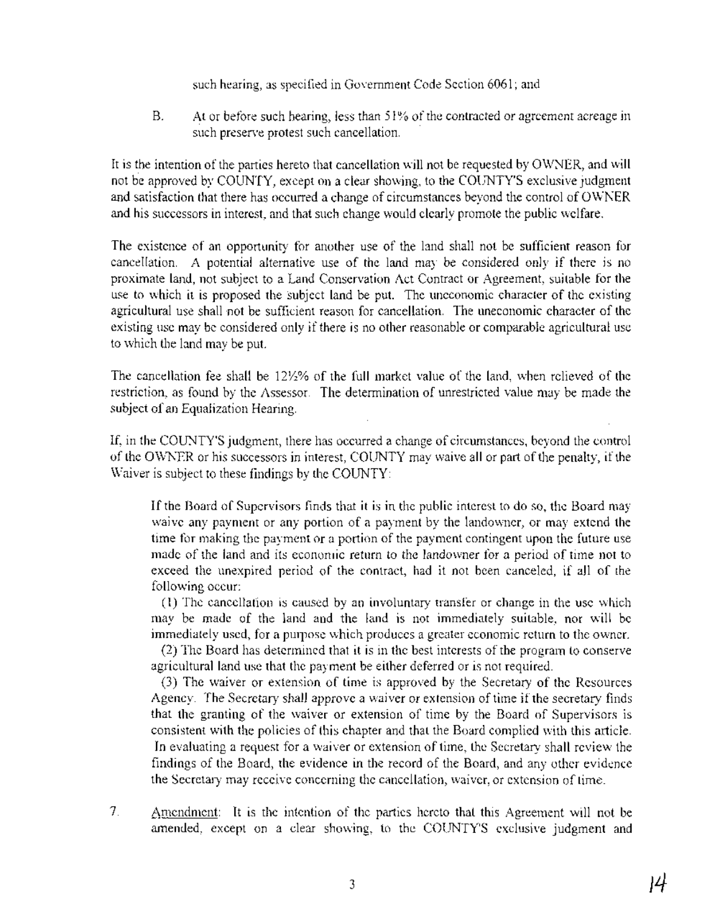such hearing, as specified in Government Code Section 6061; and

B. At or before such hearing, less than 51% of the contracted or agreement acreage in such preserve protest such cancellation.

It is the intention of the parties hereto that cancellation will not be requested by OWNER, and will not be approved by COUNTY, except on a clear showing, to the COUNTY'S exclusive judgment and satisfaction that there has occurred a change of circumstances beyond the control of OWNER and his successors in interest, and that such change would clearly promote the public welfare.

The existence of an opportunity for another use of the land shall not be sufficient reason for cancellation. A potential alternative use of the land may be considered only if there is no proximate land, not subject to a Land Conservation Act Contract or Agreement, suitable for the use to which it is proposed the subject land be put. The uneconomic character of the existing agricultural use shall not be sufficient reason for cancellation. The uneconomic character of the existing use may be considered only if there is no other reasonable or comparable agricultural use to which the land may be put.

The cancellation fee shall be *12Yz%* of the full market value of the land, when relieved of the restriction, as found by the Assessor. The determination of umestricted value may be made the subject of an Equalization Hearing.

If, in the COUNTY'S judgment, there has occurred a change of circumstances, beyond the control of the OWNER or his successors in interest, COUNTY may waive all or part ofthe penalty, if the Waiver is subject to these findings by the COUNTY:

If the Board of Supervisors finds that it is in the public interest to do so, the Board may waive any payment or any portion of a payment by the landowner, or may extend the time for making the payment or a portion of the payment contingent upon the future use made of the land and its economic return to the landowner for a period of time not to exceed the unexpired period of the contract, had it not been canceled, if all of the following occur:

(l) The cancellation is caused by an involuntary transfer or change in the use which may be made of the land and the land is not immediately suitable, nor will be immediately used, for a purpose which produces a greater economic return to the owner.

(2) The Board has determined that it is in the best interests of the program to conserve agricultural land use that the payment be either deferred or is not required.

(3) The waiver or extension of time is approved by the Secretary of the Resources Agency. The Secretary shall approve a waiver or extension of time if the secretary finds that the granting of the waiver or extension of time by the Board of Supervisors is consistent with the policies of this chapter and that the Board complied with this article. In evaluating a request for a waiver or extension of time, the Secretary shall review the findings of the Board, the evidence in the record of the Board, and any other evidence the Secretary may receive concerning the cancellation, waiver, or extension of time.

7. Amendment: It is the intention of the parties hereto that this Agreement will not be amended, except on a clear showing, to the COUNTY'S exclusive judgment and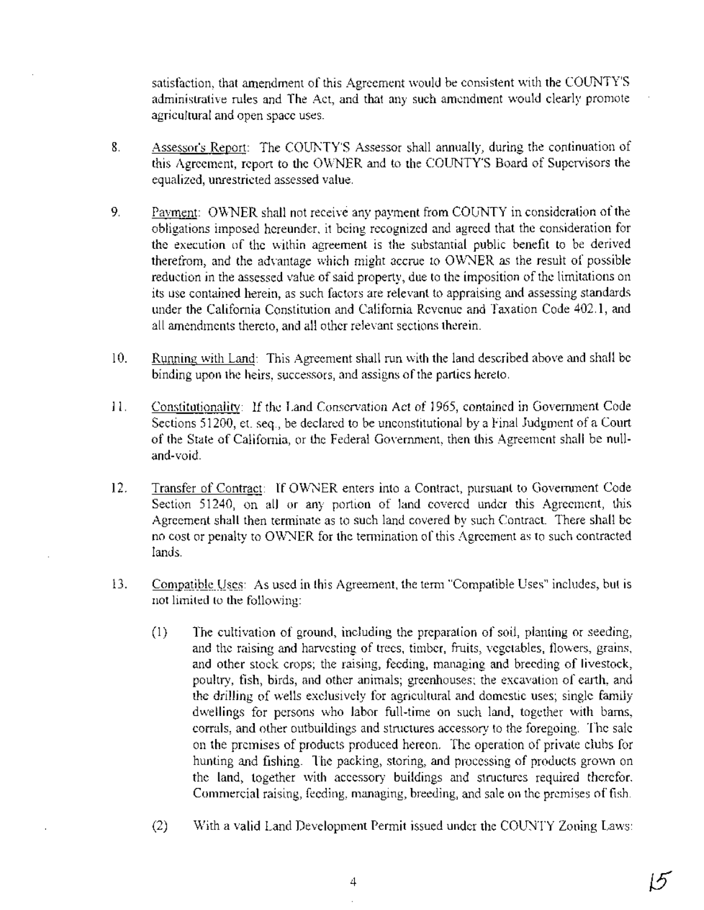satisfaction, that amendment of this Agreement would be consistent with the COUNTY'S administrative rules and The Act, and that any such amendment would clearly promote agricultural and open space uses.

- 8. Assessor's Report: The COUNTY'S Assessor shall annually, during the continuation of this Agreement, report to the OWNER and to the COUNTY'S Board of Supervisors the equalized, unrestricted assessed value.
- 9. Payment: OWNER shall not receive any payment from COUNTY in consideration of the obligations imposed hereunder, it being recognized and agreed that the consideration for the execution of the within agreement is the substantial public benefit to be derived therefrom, and the advantage which might accrue to OWNER as the result of possible reduction in the assessed value of said property, due to the imposition of the limitations on its use contained herein, as such factors are relevant to appraising and assessing standards under the California Constitution and California Revenue and Taxation Code 402.1, and all amendments thereto, and all other relevant sections therein.
- 10. Running with Land: This Agreement shall run with the land described above and shall be binding upon the heirs, successors, and assigns of the parties hereto.
- 11. Constitutionality: If the Land Conservation Act of 1965, contained in Government Code Sections 51200, et. seq., be declared to be unconstitutional by a Final Judgment of a Court of the State of California, or the Federal Government, then this Agreement shall be nulland-void.
- 12. Transfer of Contract: If OWNER enters into a Contract, pursuant to Government Code Section 51240, on all or any portion of land covered under this Agreement, this Agreement shall then terminate as to such land covered by such Contract. There shall be no cost or penalty to OWNER for the termination of this Agreement as to such contracted lands.
- 13. Compatible Uses: As used in this Agreement, the term "Compatible Uses" includes, but is not limited to the following:
	- (1) The cultivation of ground, including the preparation of soil, planting or seeding, and the raising and harvesting of trees, timber, fruits, vegetables, flowers, grains, and other stock crops; the raising, feeding, managing and breeding of livestock, poultry, fish, birds, and other animals; greenhouses; the excavation of earth, and the drilling of wells exclusively for agricultural and domestic uses; single family dwellings for persons who labor full-time on such land, together with barns, corrals, and other outbuildings and structures accessory to the foregoing. The sale on the premises of products produced hereon. The operation of private clubs for hunting and fishing. The packing, storing, and processing of products grown on the land, together with accessory buildings and structures required therefor. Commercial raising, feeding, managing, breeding, and sale on the premises of fish.
	- (2) With a valid Land Development Permit issued under the COUNTY Zoning Laws:

15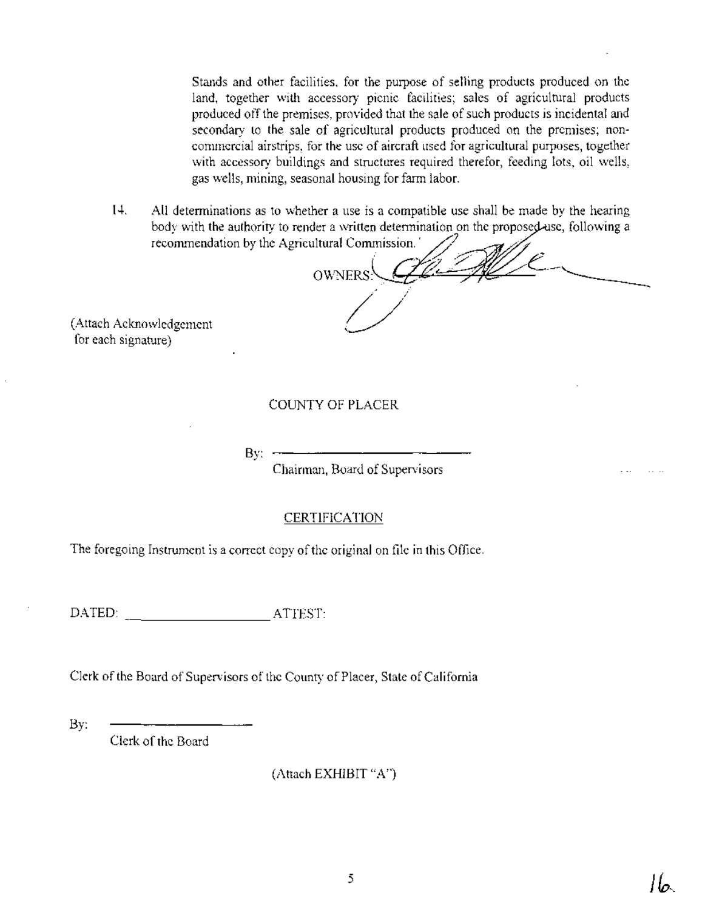Stands and other facilities, for the purpose of selling products produced on the land, together with accessory picnic facilities; sales of agricultural products produced off the premises, provided that the sale of such products is incidental and secondary to the sale of agricultural products produced on the premises; noncommercial airstrips, for the use of aircraft used for agricultural purposes, together with accessory buildings and structures required therefor, feeding lots, oil wells, gas wells, mining, seasonal housing for farm labor.

14. All determinations as to whether a use is a compatible use shall be made by the hearing body with the authority to render a written determination on the proposed use, following a recommendation by the Agricultural Commission.

 ${\rm 1}$  recommendation by the Agricultural Commission.<br> ${\rm 0}$   ${\rm WNERS}$ /~ / *U*

(Attach Acknowledgement for each signature)

### COUNTY OF PLACER

 $By: -$ 

Chairman, Board of Supervisors

### **CERTIFICATION**

The foregoing Instrument is a correct copy of the original on file in this Office.

DATED: ATTEST:

Clerk of the Board of Supervisors of the County of Placer, State of California

By:

Clerk of the Board

(Attach EXHIBIT "A")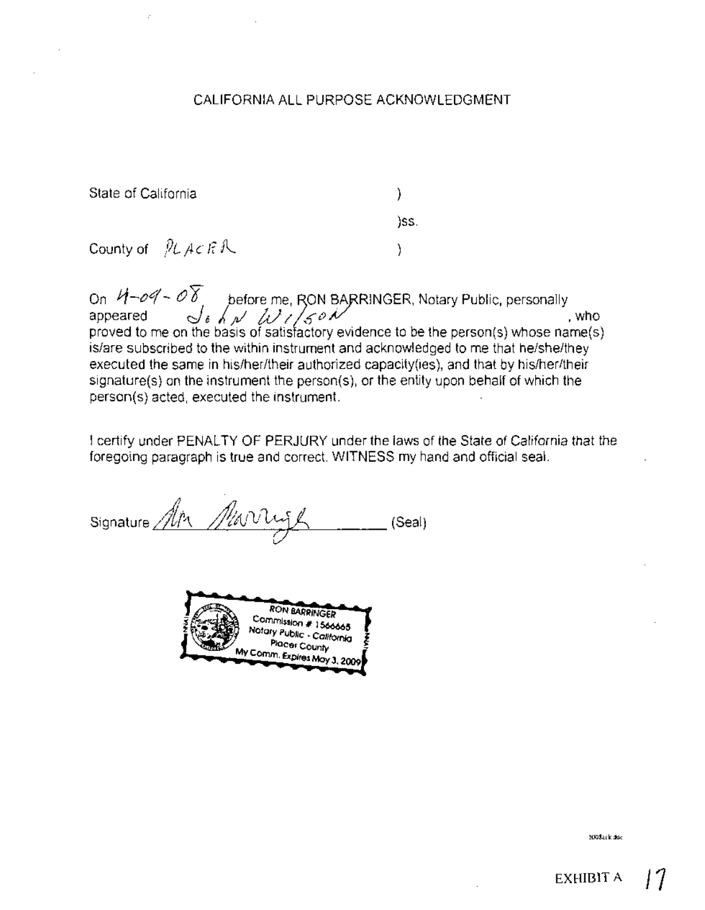### CALIFORNIA ALL PURPOSE ACKNOWLEDGMENT

State of California

) . )ss.

ì

County of  $PL$  ACFR

On  $~\mathcal{H}$  –  $\mathscr{O} \mathscr{C}$   $\rightarrow$   $~\mathscr{O}$   $\overline{\mathscr{S}}$   $_{\rho}$  before me, RON BARRINGER, Notary Public, personally appeared  $\frac{1}{\sqrt{6}} \int_{R} \int_{R} \sqrt{\frac{1}{4}} \int_{R} \int_{S} \rho \sqrt{\frac{1}{2}}$ , who proved to me on the basis of satisfactory evidence to be the person(s) whose name(s) is/are subscribed to the within instrument and acknowledged to me that he/she/they executed the same in his/her/their authorized capacity(ies), and that by his/her/their signature(s) on the instrument the person(s), or the entity upon behalf of which the person(s) acted, executed the instrument.

I certify under PENALTY OF PERJURY under the laws of the State of California that the foregoing paragraph is true and correct. WITNESS my hand and official seal.

Signature *Alta Allevi* (Seal)



2oo8.ckdoc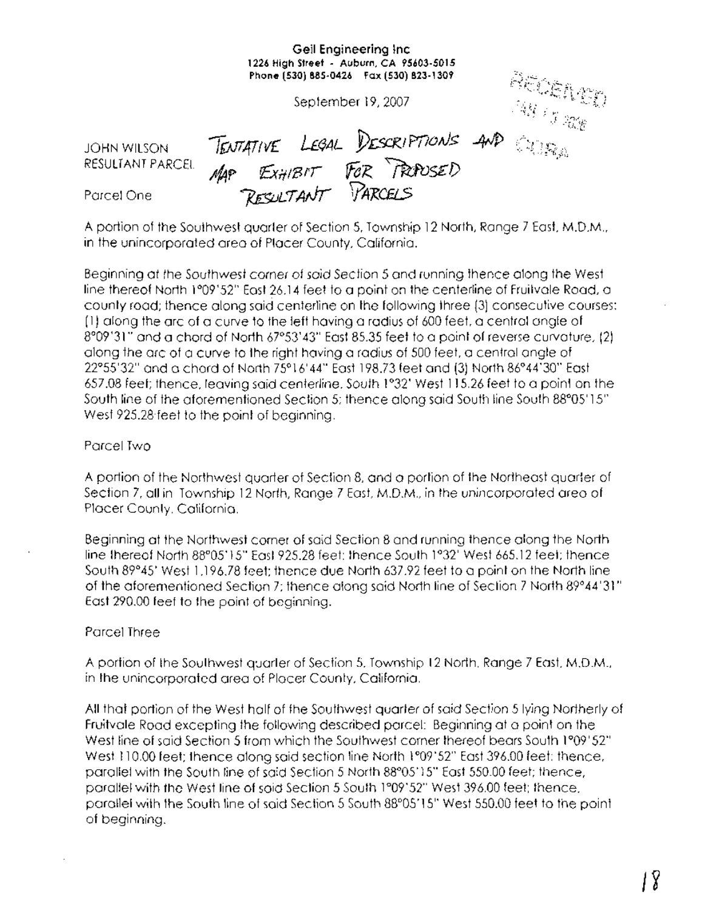|                                 | Geil Engineering Inc.<br>1226 High Street - Auburn, CA 95603-5015<br>Phone (530) 885-0426  Fax (530) 823-1309 |                                                                                                                                                                                                                                                                                                                                                                                                                                                                          |
|---------------------------------|---------------------------------------------------------------------------------------------------------------|--------------------------------------------------------------------------------------------------------------------------------------------------------------------------------------------------------------------------------------------------------------------------------------------------------------------------------------------------------------------------------------------------------------------------------------------------------------------------|
|                                 | September 19, 2007                                                                                            | ROSARY)<br>$\label{eq:Riccati} \begin{array}{c} \mathcal{P}(\mathcal{M}) \leq \mathcal{P}(\mathcal{M}) \leq \mathcal{P}(\mathcal{M}) \leq \mathcal{P}(\mathcal{M}) \leq \mathcal{P}(\mathcal{M}) \leq \mathcal{P}(\mathcal{M}) \leq \mathcal{P}(\mathcal{M}) \leq \mathcal{P}(\mathcal{M}) \leq \mathcal{P}(\mathcal{M}) \leq \mathcal{P}(\mathcal{M}) \leq \mathcal{P}(\mathcal{M}) \leq \mathcal{P}(\mathcal{M}) \leq \mathcal{P}(\mathcal{M}) \leq \mathcal{P}(\math$ |
| JOHN WILSON<br>RESULTANT PARCEL | TENTATIVE LEGAL DESCRIPTIONS AND COLORAD<br>EXHIBIT FOR PRODUSED<br>MAP                                       |                                                                                                                                                                                                                                                                                                                                                                                                                                                                          |
| Parcel One                      | RESULTANT PARCELS                                                                                             |                                                                                                                                                                                                                                                                                                                                                                                                                                                                          |

A portion of the Southwest quarter of Section 5, Township 12 North, Range 7 East, M.D.M.. in the unincorporated area of Placer County, California.

Beginning at the Southwest corner of said Section 5 and running thence along the West line thereof North 1°09'52" East 26.14 feet to a point on the centerline of Fruitvale Road, a county rood; thence along said centerline on the following three (3) consecutive courses: (1) along the arc of a curve to the left having a radius of 600 feet, a central angle of 8°09'31" and a chord of North 67°53'43" East 85.35 feet to a point of reverse curvature, (2) along the arc of a curve to the right having a radius of 500 feet, a central angle of 22°55'32" and a chord of North 75°16'44" East 198.73 feet and (3) North 86°44'30" East 657.08 feet; thence, leaving said centerline. South 1°32' West 115.26 feet to a point on the South line of the aforementioned Section 5; thence along said South line South 88°05'15" West 925.28 feet to the point of beginning.

### Parcel Two

A portion of the Northwest quarter of Section 8, and a portion of the Northeast quarter of Section 7, all in Township 12 North, Range 7 East, M.D.M., in the unincorporated area of Placer County, California.

Beginning at the Northwest corner of said Section 8 and running thence along the North line thereof North 88°05' 15" East 925.28 feet; thence South 1°32' West 665.12 feet; thence South 89°45' West 1.196.78 feet; thence due North 637.92 feet to a point on the North line of the aforementioned Section 7; thence along said North line of Section 7 North 89°44'31" East 290.00 feet to the point of beginning.

### Parcel Three

A portion of the Southwest quarter of Section 5. Township 12 North. Range 7 East, M.D.M., in the unincorporated area of Placer County, California.

All that portion of the West half of the Southwest quarter of said Section 5 lying Northerly of Fruitvale Road excepting the following described parcel: Beginning at a point on the West line of said Section 5 from which the Southwest corner thereof bears South 1°09'52" West 110.00 feet; thence along said section line North 1°09'52" East 396.00 feet; thence, parallel with the South line of said Section 5 North 88°05'15" East 550.00 feet; thence, parallel with the West line of said Section 5 South 1°09'52" West 396.00 feet; thence. parallel with the South line of said Section 5 South 88°05'15" West 550.00 feet to the point of beginning.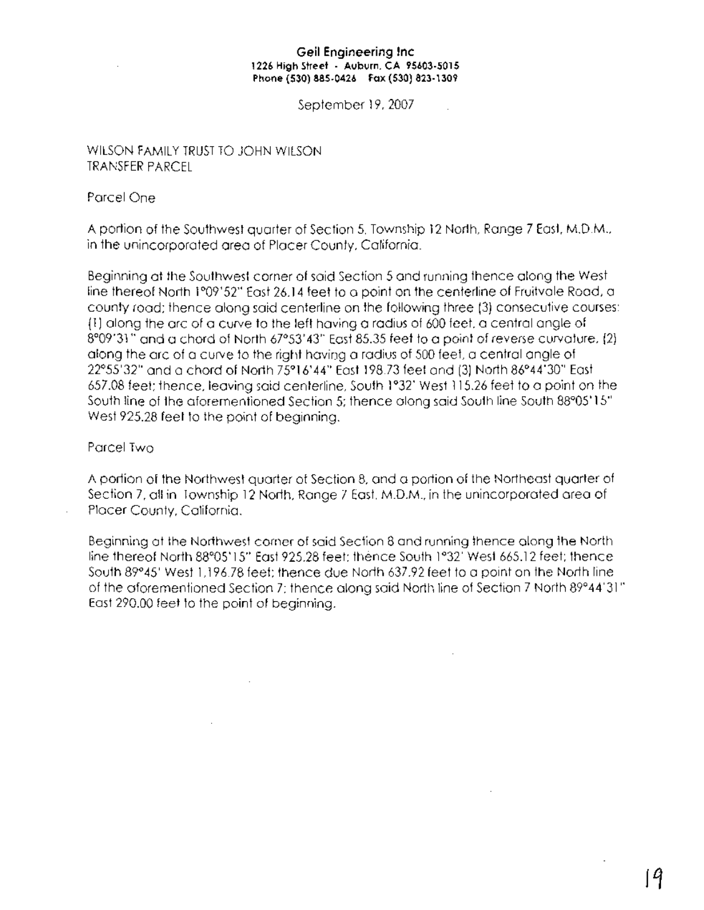### **Geil Engineering Inc 1226 High street . Auburn. CA 95603·5015 Phone (530) 885·0426 Fax (530) 823·1309**

September 19, 2007

### WILSON FAMILY TRUST TO JOHN WILSON TRANSFER PARCEL

### Parcel One

A portion of the Southwest quarter of Section 5, Township 12 North, Range 7 East. M.D.M., in the unincorporated area of Placer County, California.

Beginning at the Southwest corner of said Section 5 and running thence along the West line thereof North 1°09' 52" East 26.14 feet to a point on the centerline of Fruitvale Road, a county road; thence along said centerline on the following three (3) consecutive courses: **(1)** along the arc of a curve to the left having a radius of 600 feet. a central angle of 8°09'31" and a chord of North 67°53'43" East 85.35 feet to a point of reverse curvature, (2) along the are of a curve to the right having a radius of 500 feet, a central angle of 22°55'32" and a chord of North 75°16'44" East 198.73 feet and (3) North 86°44'30" East 657.08 feet; thence, leaving said centerline, South 1°32' West 115.26 feet to a point on the South line of the aforementioned Section 5; thence along said South line South 88°05' 15" West 925.28 feet to the point of beginning.

### Parcel Two

A portion of the Northwest quarter of Section 8, and a portion of the Northeast quarter of Section 7, all in Township 12 North, Range 7 East. M.D.M., in the unincorporated area of Placer County, California.

Beginning at the Northwest corner of said Section 8 and running thence along the North line thereof North 88°05' 15" East 925.28 feet; thence South 1°32' West 665.12 feet; thence South 89°45' West 1,196.78 feet; thence due North 637.92 feet to a point on the North line of the aforementioned Section 7; thence along said North line of Section 7 North 89°44'31" East 290.00 feet to the point of beginning.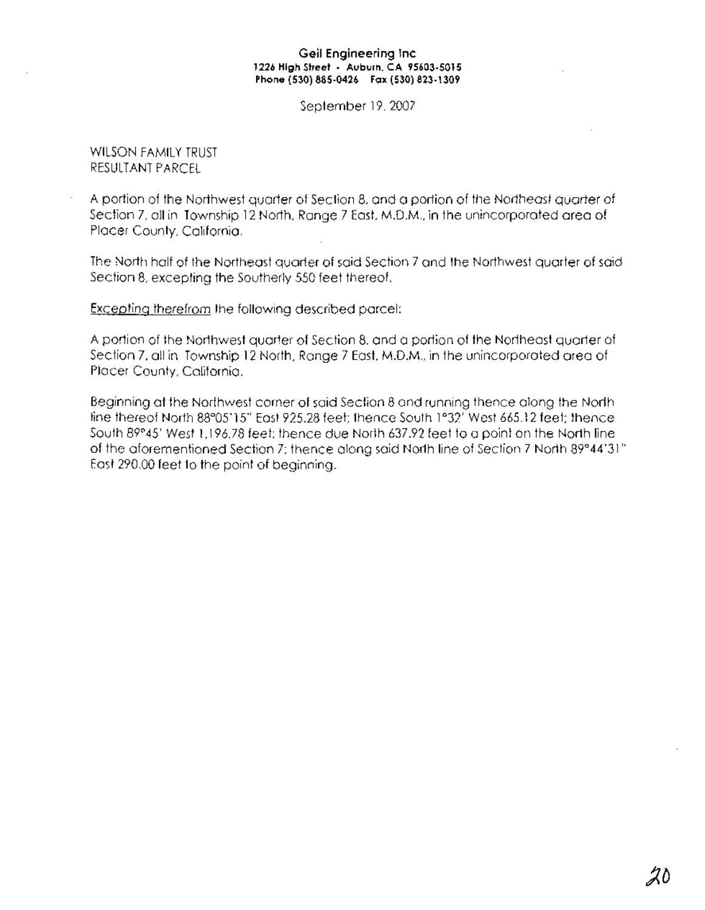### **Geil Engineering Inc 1226 High Street· Auburn, CA 95603-5015 Phone (530) 885-0426 Fax (530) 823-1309**

September 19, 2007

### WILSON FAMILY TRUST RESULTANT PARCEL

A portion of the Northwest quarter of Section 8, and a portion of the Northeast quarter of Section 7, all in Township 12 North, Range 7 East. M.D.M., in the unincorporated area of Placer County, California.

The North half of the Northeast quarter of said Section 7 and the Northwest quarter of said Section 8, excepting the Southerly 550 feet thereof.

Excepting therefrom the following described parcel:

A portion of the Northwest quarter of Section 8, and a portion of the Northeast quarter of Section 7, all in Township 12 North, Range 7 East, M.D.M., in the unincorporated area of Placer County, California.

Beginning at the Northwest corner of said Section 8 and running thence along the North line thereof North 88°05' 15" East 925.28 feet; thence South 1°32' West 665.12 feet; thence South *89°45'* West 1,196.78 feet; thence due North 637.92 feet to a point on the North line of the aforementioned Section 7; thence along said North line of Section 7 North 89°44/31" East 290.00 feet to the point of beginning.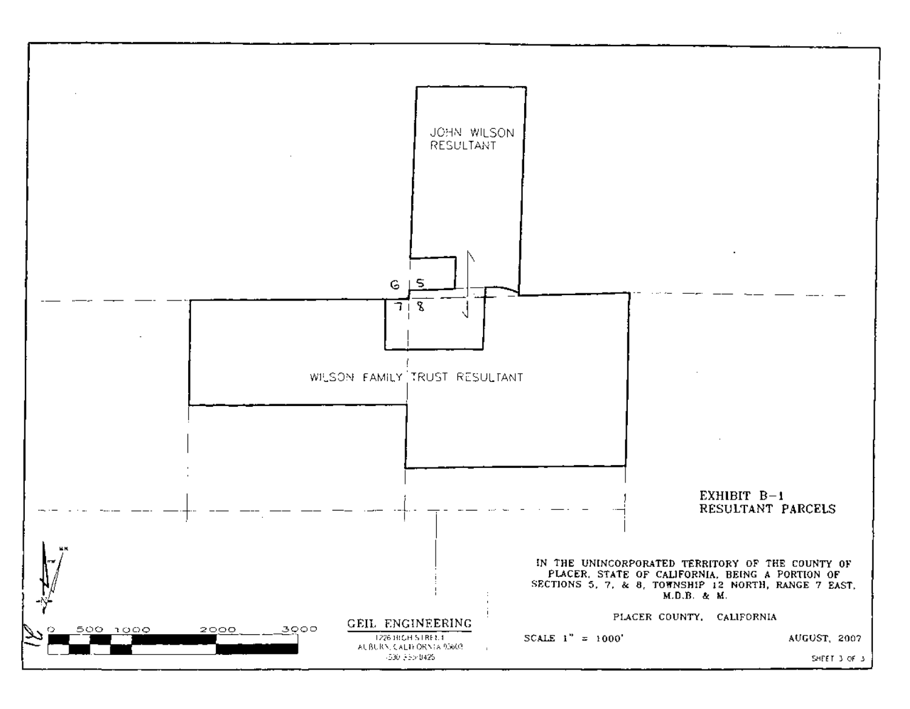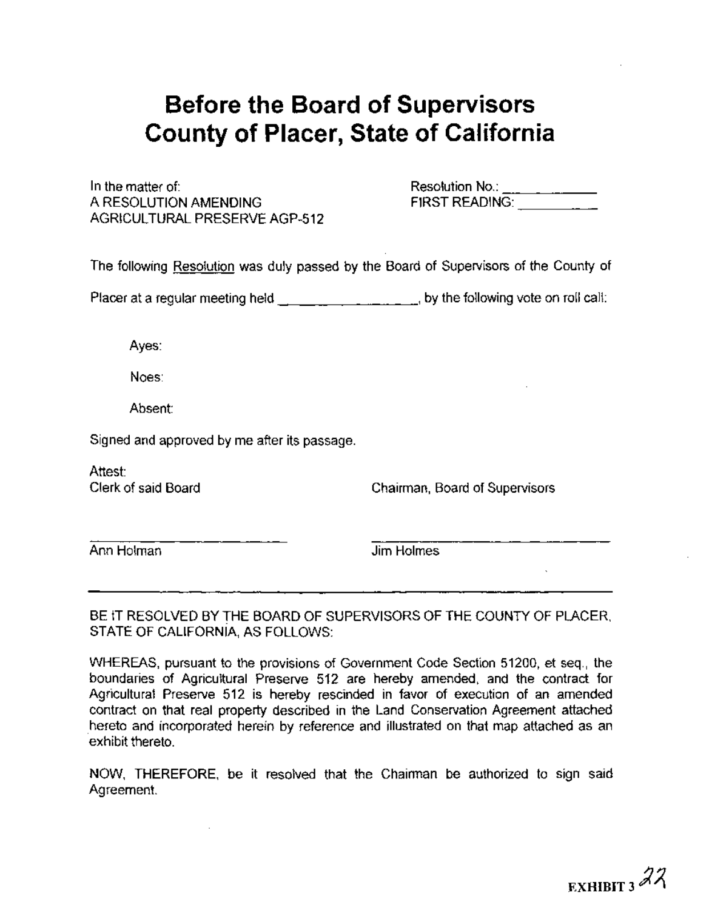# **Before the Board of Supervisors County of Placer, State of California**

In the matter of: A RESOLUTION AMENDING AGRICULTURAL PRESERVE AGP-512 Resolution No.: \_\_\_\_\_\_\_\_\_\_\_\_\_<br>FIRST READING: \_\_\_\_\_\_\_\_\_\_\_\_

The following Resolution was duly passed by the Board of Supervisors of the County of

Placer at a regular meeting held  $\frac{1}{2}$  ,  $\frac{1}{2}$  ,  $\frac{1}{2}$  , by the following vote on roll call:

Ayes:

Noes:

Absent:

Signed and approved by me after its passage.

Attest: Clerk of said Board

Chairman, Board of Supervisors

Ann Holman

Jim Holmes

BE IT RESOLVED BY THE BOARD OF SUPERVISORS OF THE COUNTY OF PLACER, STATE OF CALIFORNIA, AS FOLLOWS:

WHEREAS, pursuant to the provisions of Government Code Section 51200, et seq., the boundaries of Agricultural Preserve 512 are hereby amended, and the contract for Agricultural Preserve 512 is hereby rescinded in favor of execution of an amended contract on that real property described in the Land Conservation Agreement attached hereto and incorporated herein by reference and illustrated on that map attached as an exhibit thereto.

NOW, THEREFORE, be it resolved that the Chairman be authorized to sign said Agreement.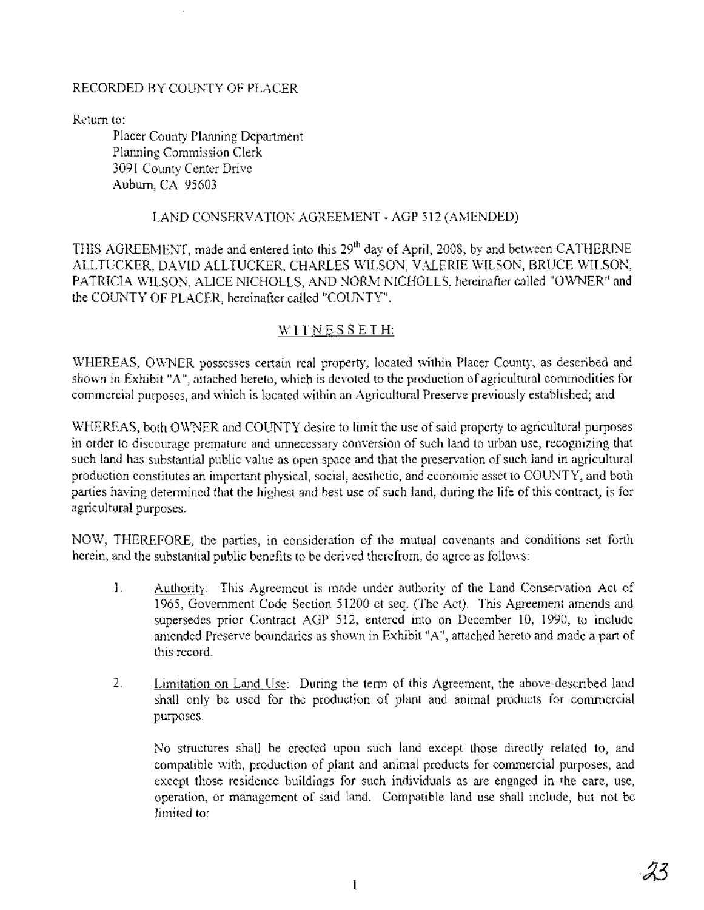### RECORDED BY COUNTY OF PLACER

Return to:

Placer County Planning Department Planning Commission Clerk 3091 County Center Drive Auburn, CA 95603

### LAND CONSERVATION AGREEMENT - AGP 512 (AMENDED)

THIS AGREEMENT, made and entered into this 29<sup>th</sup> day of April, 2008, by and between CATHERINE ALLTUCKER, DAVID ALLTUCKER, CHARLES WILSON, VALERIE WILSON, BRUCE WILSON, PATRICIA WILSON, ALICE NICHOLLS, AND NORM NICHOLLS, hereinafter called "OWNER" and the COUNTY OF PLACER, hereinafter called "COUNTY".

### WITNESSETH:

WHEREAS, OWNER possesses certain real property, located within Placer County, as described and shown in Exhibit "A", attached hereto, which is devoted to the production of agricultural commodities for commercial purposes, and which is located within an Agricultural Preserve previously established; and

WHEREAS, both OWNER and COUNTY desire to limit the use of said property to agricultural purposes in order to discourage premature and unnecessary conversion of such land to urban use, recognizing that such land has substantial public value as open space and that the preservation of such land in agricultural production constitutes an important physical, social, aesthetic, and economic asset to COUNTY, and both parties having determined that the highest and best use of such land, during the life of this contract, is for agricultural purposes.

NOW, THEREFORE, the parties, in consideration of the mutual covenants and conditions set forth herein, and the substantial public benefits to be derived therefrom, do agree as follows:

- 1. Authority: This Agreement is made under authority of the Land Conservation Act of 1965, Government Code Section 51200 et seq. (The Act). This Agreement amends and supersedes prior Contract AGP 512, entered into on December 10, 1990, to include amended Preserve boundaries as shown in Exhibit "A", attached hereto and made a part of this record.
- 2. Limitation on Land Use: During the term of this Agreement, the above-described land shall only be used for the production of plant and animal products for commercial purposes.

No structures shall be erected upon such land except those directly related to, and compatible with, production of plant and animal products for commercial purposes, and except those residence buildings for such individuals as are engaged in the care, use, operation, or management of said land. Compatible land use shall include, but not be limited to: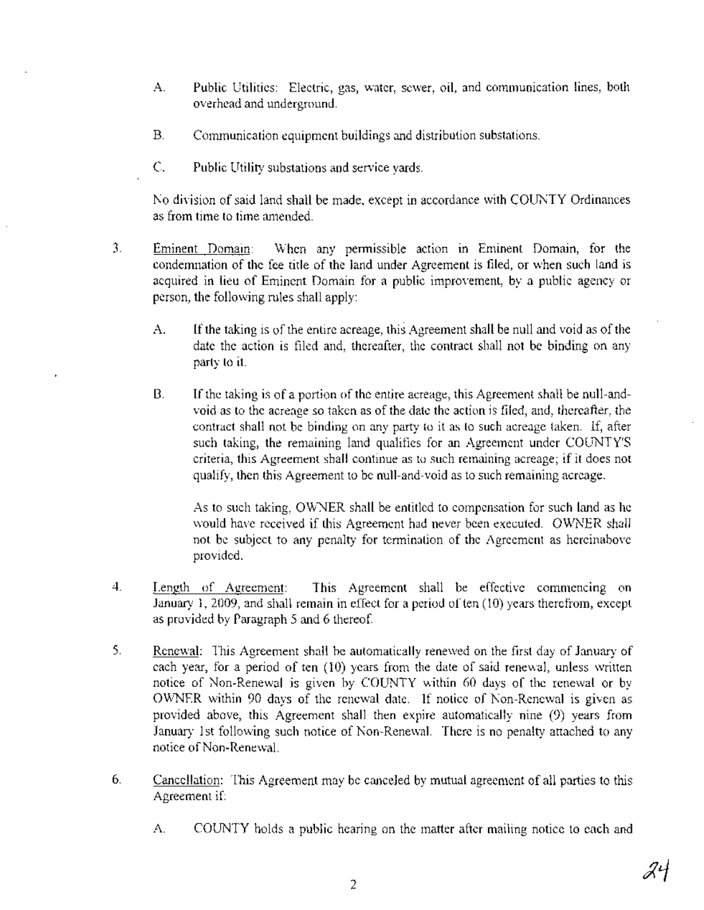- A. Public Utilities: Electric, gas, water, sewer, oil, and communication lines, both overhead and underground.
- B. Communication equipment buildings and distribution substations.
- C. Public Utility substations and service yards.

No division of said land shall be made, except in accordance with COUNTY Ordinances as from time to time amended.

- 3. Eminent Domain: When any permissible action in Eminent Domain, for the condemnation of the fee title of the land under Agreement is filed, or when such land is acquired in lieu of Eminent Domain for a public improvement, by a public agency or person, the following rules shall apply:
	- A. If the taking is of the entire acreage, this Agreement shall be null and void as of the date the action is filed and, thereafter, the contract shall not be binding on any party to it.
	- B. If the taking is of a portion of the entire acreage, this Agreement shall be null-andvoid as to the acreage so taken as of the date the action is filed, and, thereafter, the contract shall not be binding on any party to it as to such acreage taken. If, after such taking, the remaining land qualifies for an Agreement under COUNTY'S criteria, this Agreement shall continue as to such remaining acreage; if it does not qualify, then this Agreement to be null-and-void as to such remaining acreage.

As to such taking, OWNER shall be entitled to compensation for such land as he would have received if this Agreement had never been executed. OWNER shall not be subject to any penalty for termination of the Agreement as hereinabove provided.

- 4. Length of Agreement: This Agreement shall be effective commencing on January 1, 2009, and shall remain in effect for a period of ten (10) years therefrom, except as provided by Paragraph 5 and 6 thereof.
- 5. Renewal: This Agreement shall be automatically renewed on the first day of January of each year, for a period of ten (10) years from the date of said renewal, unless written notice of Non-Renewal is given by COUNTY within 60 days of the renewal or by OWNER within 90 days of the renewal date. If notice of Non-Renewal is given as provided above, this Agreement shall then expire automatically nine (9) years from January 1st following such notice of Non-Renewal. There is no penalty attached to any notice ofNon-Renewal.
- 6. Cancellation: This Agreement may be canceled by mutual agreement of all parties to this Agreement if:
	- A. COUNTY holds a public hearing on the matter after mailing notice to each and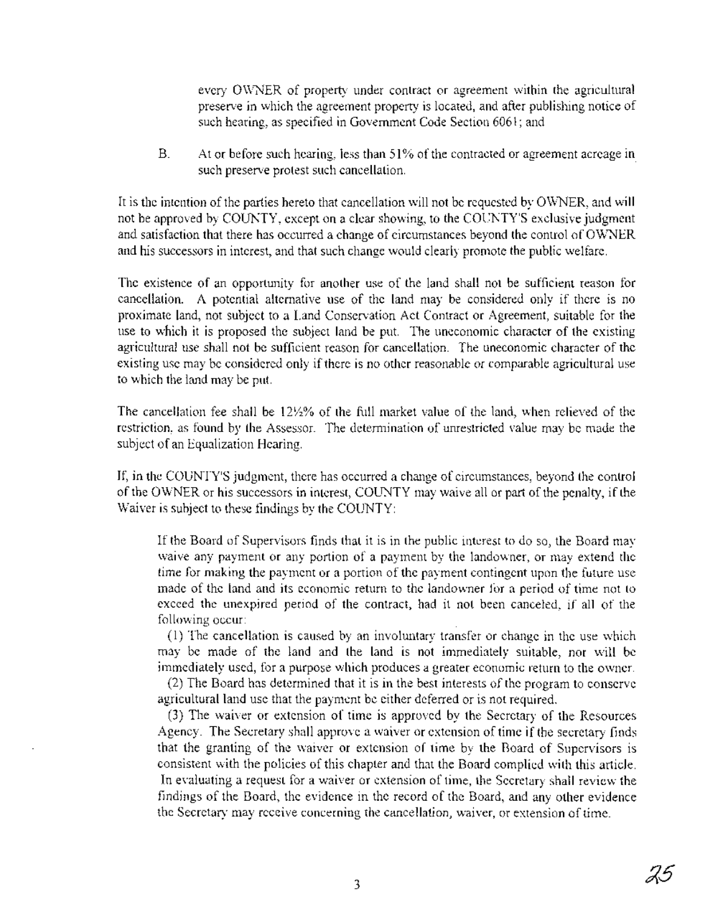every OWNER of property under contract or agreement within the agricultural preserve in which the agreement property is located, and after publishing notice of such hearing, as specified in Government Code Section 6061; and

B. At or before such hearing, less than 51% of the contracted or agreement acreage in such preserve protest such cancellation.

It is the intention of the parties hereto that cancellation will not be requested by OWNER, and will not be approved by COUNTY, except on a clear showing, to the COUNTY'S exclusive judgment and satisfaction that there has occurred a change of circumstances beyond the control of OWNER and his successors in interest, and that such change would clearly promote the public welfare.

The existence of an opportunity for another use of the land shall not be sufficient reason for cancellation. A potential alternative use of the land may be considered only if there is no proximate land, not subject to a Land Conservation Act Contract or Agreement, suitable for the use to which it is proposed the subject land be put. The uneconomic character of the existing agricultural use shall not be sufficient reason for cancellation. The uneconomic character of the existing use may be considered only if there is no other reasonable or comparable agricultural use to which the land may be put.

The cancellation fee shall be 12Yz% of the full market value of the land, when relieved of the restriction, as found by the Assessor. The determination of unrestricted value may be made the subject of an Equalization Hearing.

If, in the COUNTY'S judgment, there has occurred a change of circumstances, beyond the control of the OWNER or his successors in interest, COUNTY may waive all or part of the penalty, if the Waiver is subject to these findings by the COUNTY:

If the Board of Supervisors finds that it is in the public interest to do so, the Board may waive any payment or any portion of a payment by the landowner, or may extend the time for making the payment or a portion of the payment contingent upon the future use made of the land and its economic return to the landowner for a period of time not to exceed the unexpired period of the contract, had it not been canceled, if all of the following occur:

(1) The cancellation is caused by an involuntary transfer or change in the use which may be made of the land and the land is not immediately suitable, nor will be immediately used, for a purpose which produces a greater economic return to the owner.

(2) The Board has determined that it is in the best interests of the program to conserve agricultural land use that the payment be either deferred or is not required.

(3) The waiver or extension of time is approved by the Secretary of the Resources Agency. The Secretary shall approve a waiver or extension of time if the secretary finds that the granting of the waiver or extension of time by the Board of Supervisors is consistent with the policies ofthis chapter and that the Board complied with this article. In evaluating a request for a waiver or extension of time, the Secretary shall review the findings of the Board, the evidence in the record of the Board, and any other evidence the Secretary may receive concerning the cancellation, waiver, or extension of time.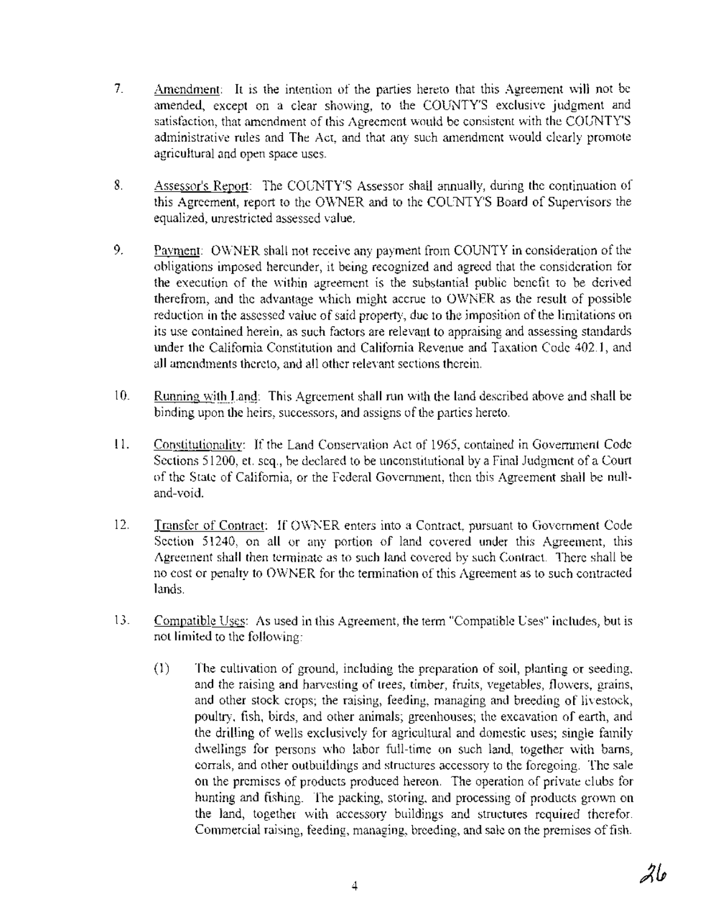- 7. Amendment: It is the intention of the parties hereto that this Agreement will not be amended, except on a clear showing, to the COUNTY'S exclusive judgment and satisfaction, that amendment of this Agreement would be consistent with the COUNTY'S administrative rules and The Act, and that any such amendment would clearly promote agricultural and open space uses.
- 8. Assessor's Report: The COUNTY'S Assessor shall annually, during the continuation of this Agreement, report to the OWNER and to the COUNTY'S Board of Supervisors the equalized, unrestricted assessed value.
- 9. Payment: OWNER shall not receive any payment from COUNTY in consideration of the obligations imposed hereunder, it being recognized and agreed that the consideration for the execution of the within agreement is the substantial public benefit to be derived therefrom, and the advantage which might accrue to OWNER as the result of possible reduction in the assessed value of said property, due to the imposition of the limitations on its use contained herein, as such factors are relevant to appraising and assessing standards under the California Constitution and California Revenue and Taxation Code 402.1, and all amendments thereto, and all other relevant sections therein.
- 10. Running with Land: This Agreement shall run with the land described above and shall be binding upon the heirs, successors, and assigns of the parties hereto.
- 11. Constitutionality: If the Land Conservation Act of 1965, contained in Government Code Sections 51200, et. seq., be declared to be unconstitutional by a Final Judgment of a Court of the State of California, or the Federal Government, then this Agreement shall be nulland-void.
- 12. Transfer of Contract: If OWNER enters into a Contract, pursuant to Government Code Section 51240, on all or any portion of land covered under this Agreement, this Agreement shall then terminate as to such land covered by such Contract. There shall be no cost or penalty to OWNER for the termination of this Agreement as tosuch contracted lands.
- 13. Compatible Uses: As used in this Agreement, the term "Compatible Uses" includes, but is not limited to the following:
	- (1) The cultivation of ground, including the preparation of soil, planting or seeding, and the raising and harvesting of trees, timber, fruits, vegetables, flowers, grains, and other stock crops; the raising, feeding, managing and breeding of livestock, poultry, fish, birds, and other animals; greenhouses; the excavation of earth, and the drilling of wells exclusively for agricultural and domestic uses; single family dwellings for persons who labor full-time on such land, together with barns, corrals, and other outbuildings and structures accessory to the foregoing. The sale on the premises of products produced hereon. The operation of private clubs for hunting and fishing. The packing, storing, and processing of products grown on the land, together with accessory buildings and structures required therefor. Commercial raising, feeding, managing, breeding, and sale on the premises of fish.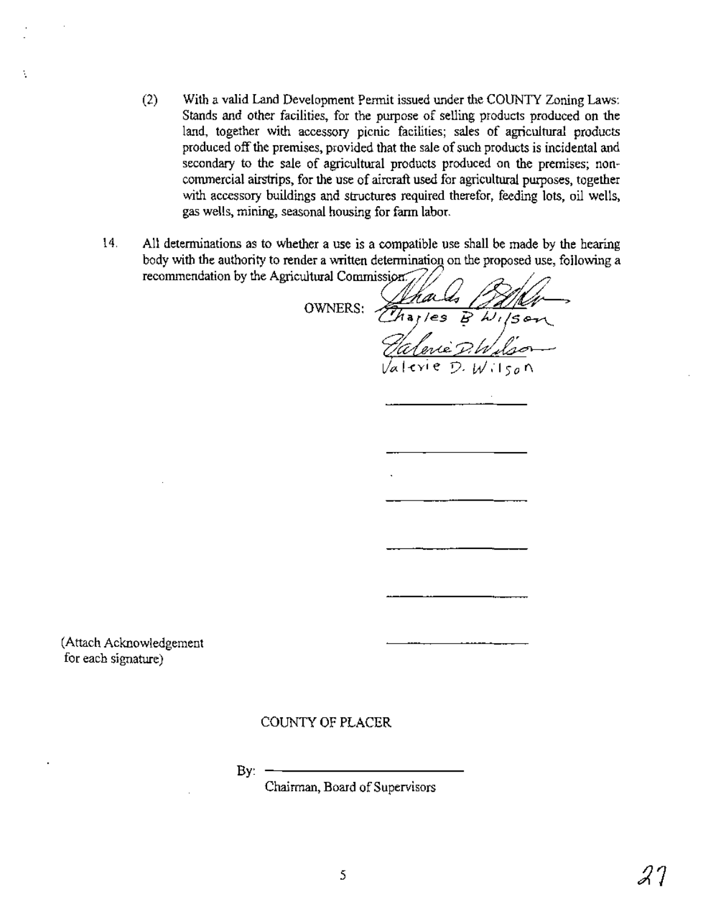- · (2) With a valid Land Development Pennit issued under the COUNTY Zoning Laws: Stands and other facilities, for the purpose of selling products produced on the land, together with accessory picnic facilities; sales of agricultural products produced off the premises, provided that the sale of such products is incidental and secondary to the sale of agricultural products produced on the premises; noncommercial airstrips, for the use of aircraft used for agricultural purposes, together with accessory buildings and structures required therefor, feeding lots, oil wells, gas wells, mining, seasonal housing for farm labor.
- 14. All determinations as to whether a use is a compatible use shall be made by the hearing body with the authority to render a written determination on the proposed use, following a recommendation by the Agricultural Commission. $\sqrt{ }$

 $OWNERS:$   $\frac{\sqrt{14}a\mu}{\sqrt{16}a\sqrt{16}}$   $\frac{\sqrt{2}}{B}$   $\frac{\sqrt{16}a\mu}{15}$ , ,  $\omega$ D· W,'150 r'\

(Attach Acknowledgement for each signature)

### COUNTY OF PLACER

 $Bv:$ 

Chairman, Board of Supervisors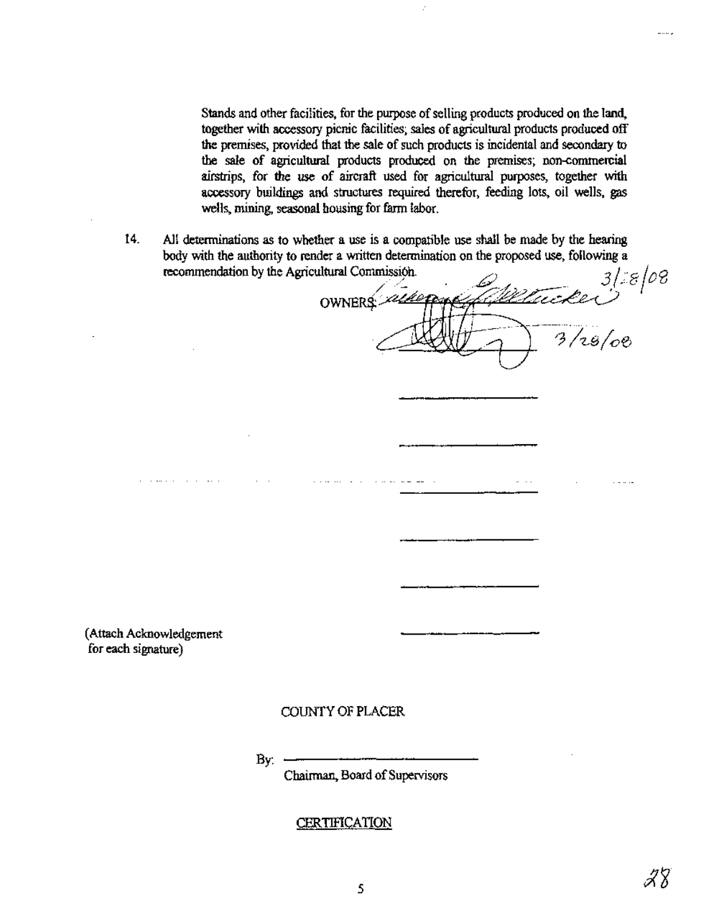Stands and other facilities, for the purpose of selling products produced on the land, together with accessory picnic facilities; sales of agricultural products produced off the premises, provided that the sale of such products is incidental and secondary to the sale of agricultural products produced on the premises; non-commercial airstrips, for the use of aircraft used for agricultural purposes, together with accessory buildings and structures required therefor, feeding lots, oil wells, gas wells, mining, seasonal housing for farm labor.

14. All determinations as to whether a use is a compatible use shall be made by the hearing body with the authority to render a written determination on the proposed use, following a recommendation by the Agricultural Commission.

 $\ddot{\mathcal{L}}$ 8/08 **OWNERS**  $3/28/08$ 

(Attach Acknowledgement for each signature)

### COUNTY OF PLACER

By:

Chairman, Board of Supervisors

### CERTIFICATION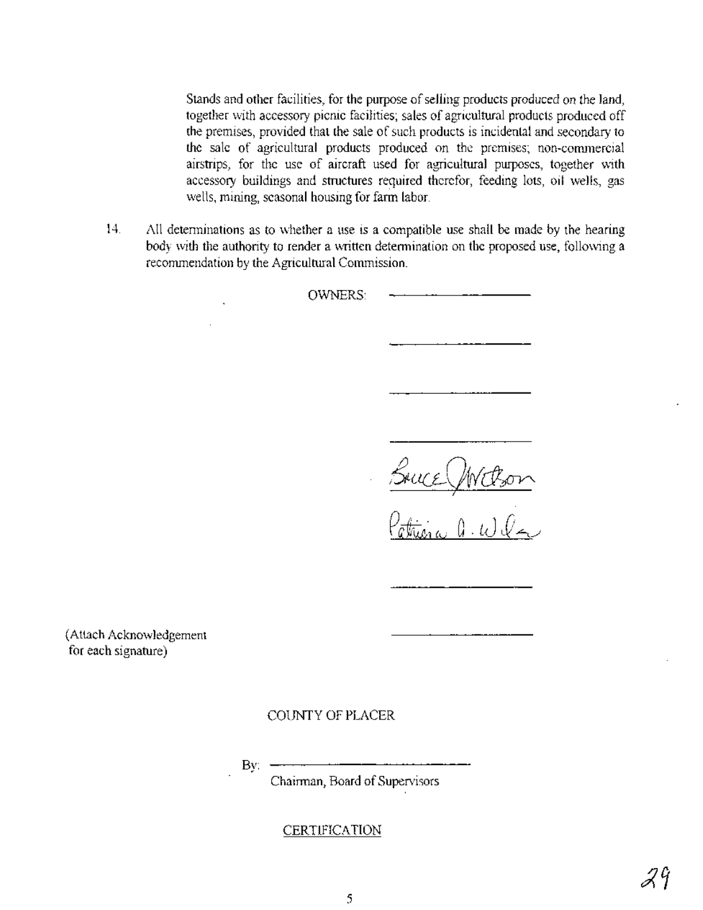Stands and other facilities, for the purpose of selling products produced on the land, together with accessory picnic facilities; sales of agricultural products produced off the premises, provided that the sale of such products is incidental and secondary to the sale of agricultural products produced on the premises; non~commercial airstrips, for the use of aircraft used for agricultural purposes, together with accessory buildings and structures required therefor, feeding lots, oil wells, gas wells, mining, seasonal housing for farm labor.

14. All determinations as to whether a use is a compatible use shall be made by the hearing body with the authority to render a written determination on the proposed use, following a recommendation by the Agricultural Commission.

OWNERS:

Bruce Withon

 $V$ aturia d'UV

(Attach Acknowledgement for each signature)

COUNTY OF PLACER

By:

Chairman, Board of Supervisors

**CERTIFICATION**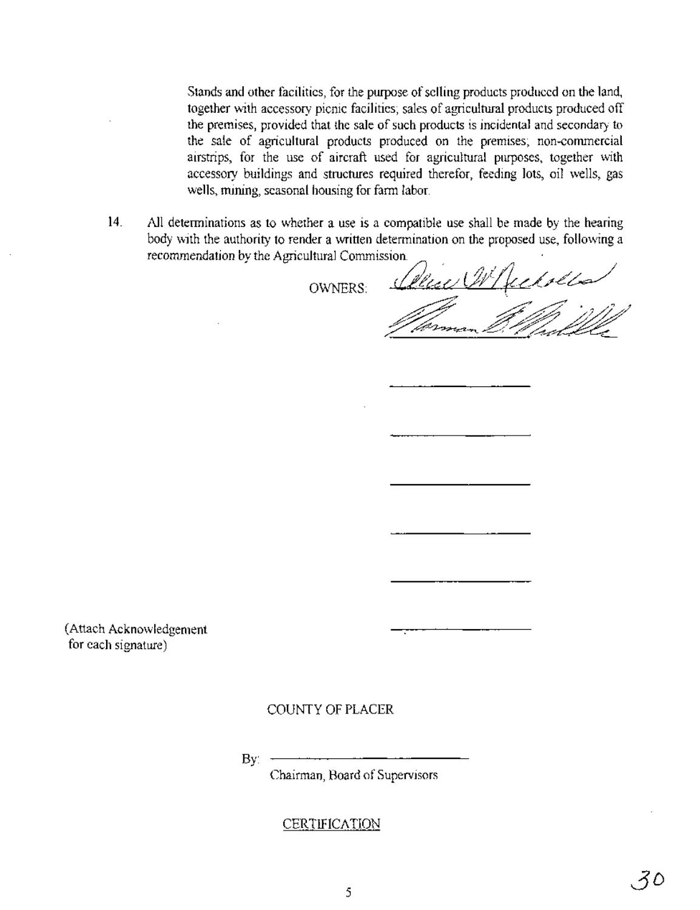Stands and other facilities, for the purpose of selling products produced on the land, together with accessory picnic facilities; sales of agricultural products produced off the premises, provided that the sale of such products is incidental and secondary to the sale of agricultural products produced on the premises; non-commercial airstrips, for the use of aircraft used for agricultural purposes, together with accessory buildings and structures required therefor, feeding lots, oil wells, gas wells, mining, seasonal housing for farm labor. the sale of agricultural products produced on the premises; non-commercia<br>airstrips, for the use of aircraft used for agricultural purposes, together with<br>accessory buildings and structures required therefor, feeding lots,

14. All determinations as to whether a use is a compatible use shall be made by the hearing body with the authority to render a written determination on the proposed use, following a

OWNERS: *(t'2t?C>/* {1t4L~W .<br>@rmsn\_Q. Waa ..~~~,;. .., .. <u>// berman D. Waddle</u>

(Attach Acknowledgement for each signature)

### COUNTY OF PLACER

By:

Chairman, Board of Supervisors

### **CERTIFICATION**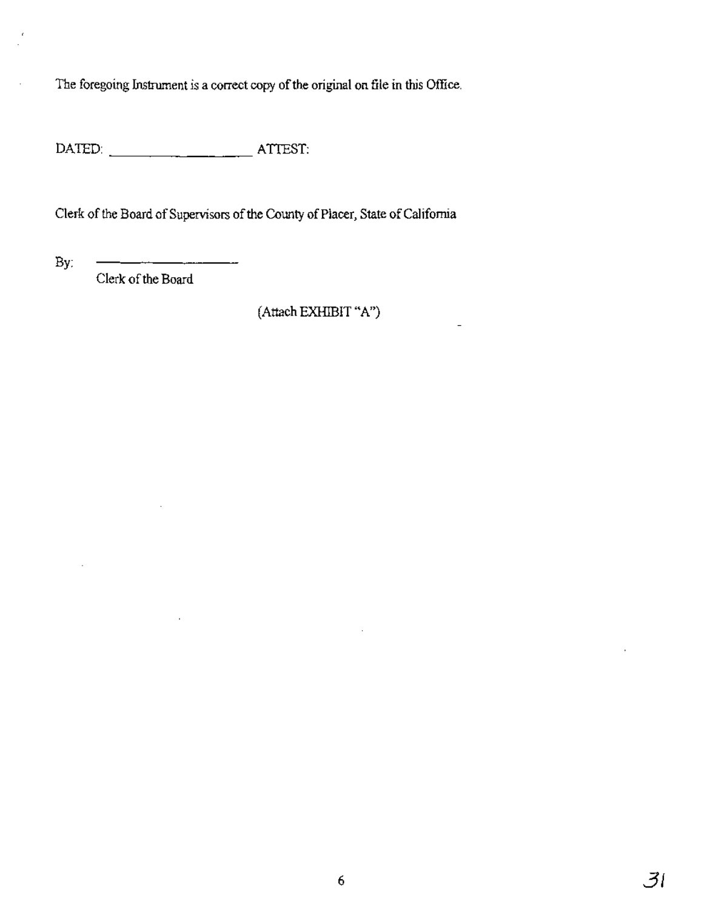The foregoing Instrument is a correct copy of the original on file in this Office.

DATED: ATTEST: --------

 $\ddot{\phantom{a}}$ 

Clerk of the Board of Supervisors of the County of Placer, State of California

By:

 $\ddot{\phantom{a}}$ 

Clerk of the Board

(Attach EXHIBIT "A")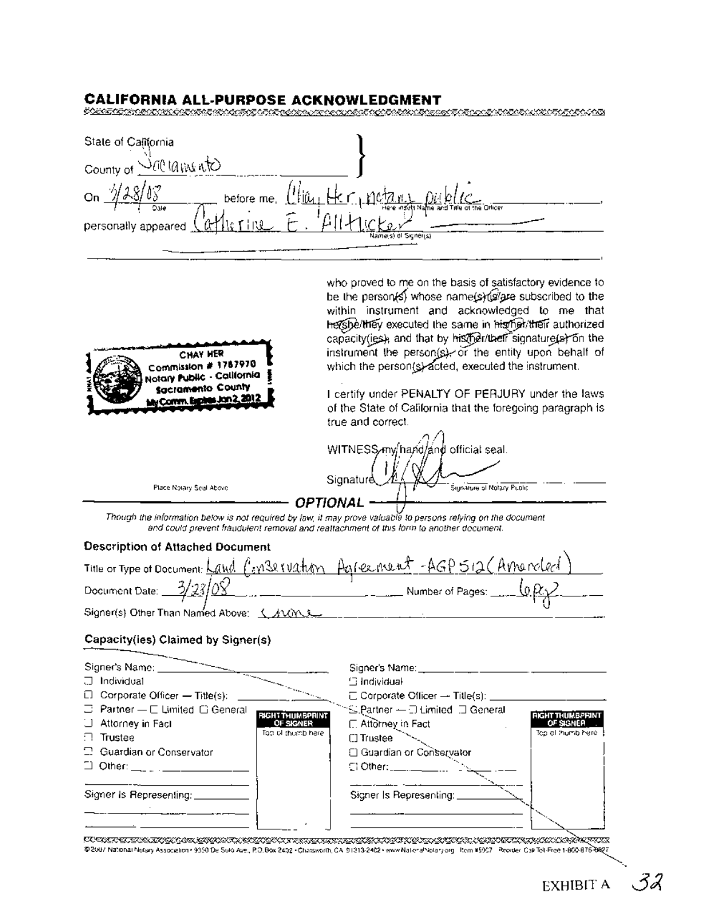### CALIFORNIA ALL-PURPOSE ACKNOWLEDGMENT

| State of California                |                                            |
|------------------------------------|--------------------------------------------|
| $^{\Lambda}$ GA (Area<br>County of |                                            |
| On<br>before me,                   |                                            |
| Oale<br>personally appeared        | Here insett Name and Title of the Officer. |
|                                    | Name(s) of Signer(s)                       |

who proved to me on the basis of satisfactory evidence to

| CHAY HER<br>Commission # 1787970<br>Notary Public - California<br><b>Sacramento County</b><br>My Comm. Explos Jon 2, 2012 | be the person(s) whose name(s) (s/gze subscribed to the<br>within instrument and acknowledged to me that<br>hershelthey executed the same in higher/their authorized<br>capacity(ies), and that by histher/their signature(s) on the<br>instrument the person(s), or the entity upon behalf of<br>which the person(s) acted, executed the instrument.<br>I certify under PENALTY OF PERJURY under the laws<br>of the State of California that the foregoing paragraph is |
|---------------------------------------------------------------------------------------------------------------------------|--------------------------------------------------------------------------------------------------------------------------------------------------------------------------------------------------------------------------------------------------------------------------------------------------------------------------------------------------------------------------------------------------------------------------------------------------------------------------|
|                                                                                                                           | true and correct.                                                                                                                                                                                                                                                                                                                                                                                                                                                        |
|                                                                                                                           | WITNESS my hand and official seal.                                                                                                                                                                                                                                                                                                                                                                                                                                       |
| Place Notary Seal Above                                                                                                   | Signature<br>Signifiure of Notary Public                                                                                                                                                                                                                                                                                                                                                                                                                                 |
|                                                                                                                           | OPTIONAL                                                                                                                                                                                                                                                                                                                                                                                                                                                                 |
|                                                                                                                           | Though the information below is not required by law, it may prove valuable to persons relying on the document<br>and could prevent fraudulent removal and reattachment of this form to another document.                                                                                                                                                                                                                                                                 |
| Description of Attached Document                                                                                          |                                                                                                                                                                                                                                                                                                                                                                                                                                                                          |
|                                                                                                                           |                                                                                                                                                                                                                                                                                                                                                                                                                                                                          |
|                                                                                                                           | Title or Type of Document: Land C: n32 ruation Agreement AGP 512 (Arnonoled)                                                                                                                                                                                                                                                                                                                                                                                             |
| Signer(s) Other Than Named Above: <u>( ANW ) .</u>                                                                        |                                                                                                                                                                                                                                                                                                                                                                                                                                                                          |
| Capacity(ies) Claimed by Signer(s)                                                                                        |                                                                                                                                                                                                                                                                                                                                                                                                                                                                          |
| Signer's Name: ___                                                                                                        | Signer's Name:                                                                                                                                                                                                                                                                                                                                                                                                                                                           |
| コ Individual                                                                                                              | ⊞ Individual                                                                                                                                                                                                                                                                                                                                                                                                                                                             |

| Individual                                     |                         | $\boxdot$ Individual                                    |                         |
|------------------------------------------------|-------------------------|---------------------------------------------------------|-------------------------|
| $\Box$ Corporate Officer - Title(s):           |                         | $\Box$ Corporate Officer $\rightarrow$ Title(s): $\_\_$ |                         |
| $\Box$ Partner - $\Box$ Limited $\Box$ General | <b>RIGHT THUMBPRINT</b> | ™S Partner - - D Limited III General                    | <b>RIGHT THUMBPRINT</b> |
| U Attorney in Fact                             | OF SIGNER               | <b>□ Attorney in Fact</b>                               | OF SIGNER               |
| $\Box$ Trustee                                 | Top of themb here.      | <b>□ Trustee</b>                                        | Top at thumb here $\}$  |
| 2 Guardian or Conservator                      |                         | <b>El Guardian or Conservator</b>                       |                         |
| $\Box$ Other: ___ _ _ ____                     |                         |                                                         |                         |
|                                                |                         |                                                         |                         |
| Signer is Representing:                        |                         | Signer Is Representing:                                 |                         |
|                                                |                         |                                                         |                         |
|                                                |                         |                                                         |                         |

UGAN TARA SEGERA TANGGAN DENGAN TANGGAN TARA SEGERA TANGGAN TANGGAN TANGGAN TANGGAN TANGGAN TARA TANGGAN TARA<br>1920 - Palip dan mempunya Associator (1930) De Suid ave., P.O. Box 2492 - Chaismoth, C.A. 91312462 - War Maria T

32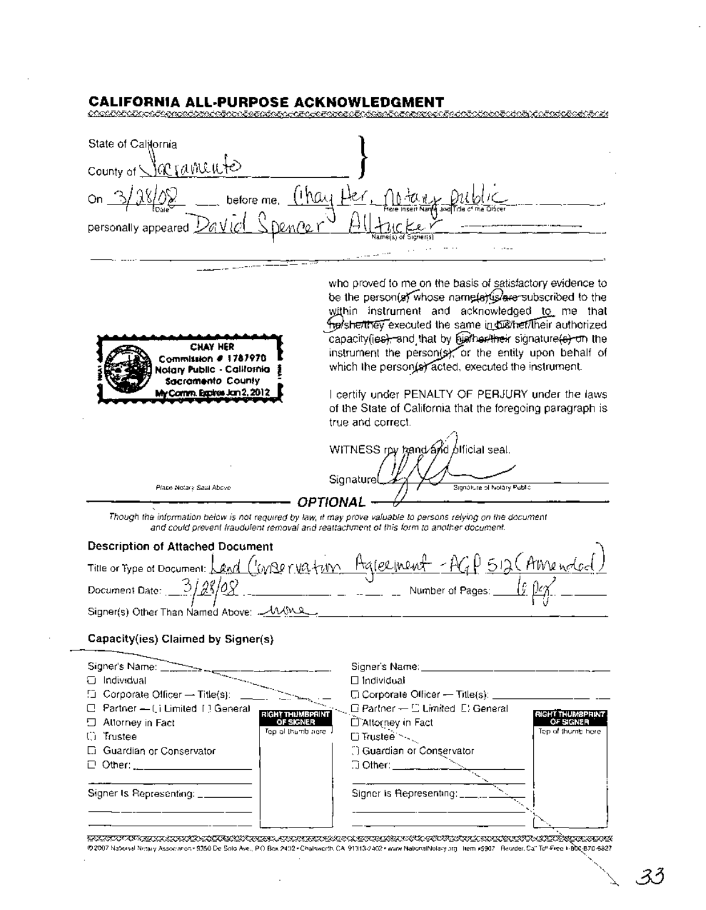#### **CALIFORNIA ALL-PURPOSE ACKNOWLEDGMENT**

| State of California                                      |                                           |
|----------------------------------------------------------|-------------------------------------------|
| 'iamuute'<br>County of                                   |                                           |
| hai,<br>On<br>before me,<br><b>LCale</b>                 | Here Insert Name and Title of the Otticer |
| 70м <i>Ро</i> –<br>'a v ≀<br>Z.<br>personally appeared Z | Name(s) of Signer(s)                      |
|                                                          | $\sim$                                    |



who proved to me on the basis of satisfactory evidence to be the person(a) whose name(a) users ubscribed to the within instrument and acknowledged to me that he/sherthey executed the same in disthet/lheir authorized capacity(ies), and that by further signature(s) on the instrument the person(s), or the entity upon behalf of which the person(s) acted, executed the instrument.

I certify under PENALTY OF PERJURY under the laws of the State of California that the foregoing paragraph is true and correct.

WITNESS rpy band and official seal. Signature Signalure of Nolary Public **OPTIONAL** 

Though the information below is not required by law, it may prove valuable to persons relying on the document and could prevent traudulent removal and reattachment of this form to another document.

### **Description of Attached Document**

Place Notary Seal Above

| Title or Type of Document: Land Canser vation Agree inent - AGD 512 (Alivendod) |                                                                                 |  |
|---------------------------------------------------------------------------------|---------------------------------------------------------------------------------|--|
| Document Date: $3/28/0.8$                                                       | Number of Pages: $\frac{1}{2}$ $\frac{1}{2}$ $\frac{1}{2}$ $\frac{2}{\sqrt{2}}$ |  |
| Signer(s) Other Than Named Above: AMMA                                          |                                                                                 |  |

### Capacity(ies) Claimed by Signer(s)

| Signer's Name: ________                                                                                                                                                                                                                                                                                             | Signer's Name:                                                             |                         |
|---------------------------------------------------------------------------------------------------------------------------------------------------------------------------------------------------------------------------------------------------------------------------------------------------------------------|----------------------------------------------------------------------------|-------------------------|
| Individual                                                                                                                                                                                                                                                                                                          | $\Box$ Individuali                                                         |                         |
| $\Box$ Corporate Officer - Title(s): ______                                                                                                                                                                                                                                                                         | $\square$ Corporate Officer — Title(s): $\rule{1em}{0.15mm}$               |                         |
| $\Box$ Partner - (i Limited 1) General                                                                                                                                                                                                                                                                              | $\Box$ Partner -- $\Box$ Limited $\Box$ General<br><b>RIGHT THUMBPRINT</b> | <b>RIGHT THUMBPHINT</b> |
| $\Box$ Attorney in Fact                                                                                                                                                                                                                                                                                             | D'Attorney in Fact<br>OF SIGNER                                            | OF SIGNER               |
| <b>C</b> Trustee                                                                                                                                                                                                                                                                                                    | Top of thumb acre if<br>□ Trustee                                          | Top of thumb here.      |
| <b>C.</b> Guardian or Conservator                                                                                                                                                                                                                                                                                   | 1) Guardian or Conservator                                                 |                         |
| $\Box$ Other: $\frac{1}{2}$ $\frac{1}{2}$ $\frac{1}{2}$ $\frac{1}{2}$ $\frac{1}{2}$ $\frac{1}{2}$ $\frac{1}{2}$ $\frac{1}{2}$ $\frac{1}{2}$ $\frac{1}{2}$ $\frac{1}{2}$ $\frac{1}{2}$ $\frac{1}{2}$ $\frac{1}{2}$ $\frac{1}{2}$ $\frac{1}{2}$ $\frac{1}{2}$ $\frac{1}{2}$ $\frac{1}{2}$ $\frac{1}{2}$ $\frac{1}{2}$ | $\Box$ Other: $\Box$ $\Box$ $\Box$                                         |                         |
|                                                                                                                                                                                                                                                                                                                     |                                                                            |                         |
| Signer Is Representing: ______                                                                                                                                                                                                                                                                                      | Signer is Representing: ________                                           |                         |
|                                                                                                                                                                                                                                                                                                                     |                                                                            |                         |
|                                                                                                                                                                                                                                                                                                                     |                                                                            |                         |

<u>STATT TI VINN KRIMIN STATT OM HANNET TIL ET KUNN VIK STATT HAN FRIHANN VIKSKONSKA STATT OG STATT FRA FRIHANN</u> @2007 National Netsuy Association+ 9350 De Solo Ave., P.O. Box 2402+Chalsworth, CA, 91313/2402+www.NationalNotary.org | ttem #5907 | Reorder, Ca" To!-Free + BDc;B70-6827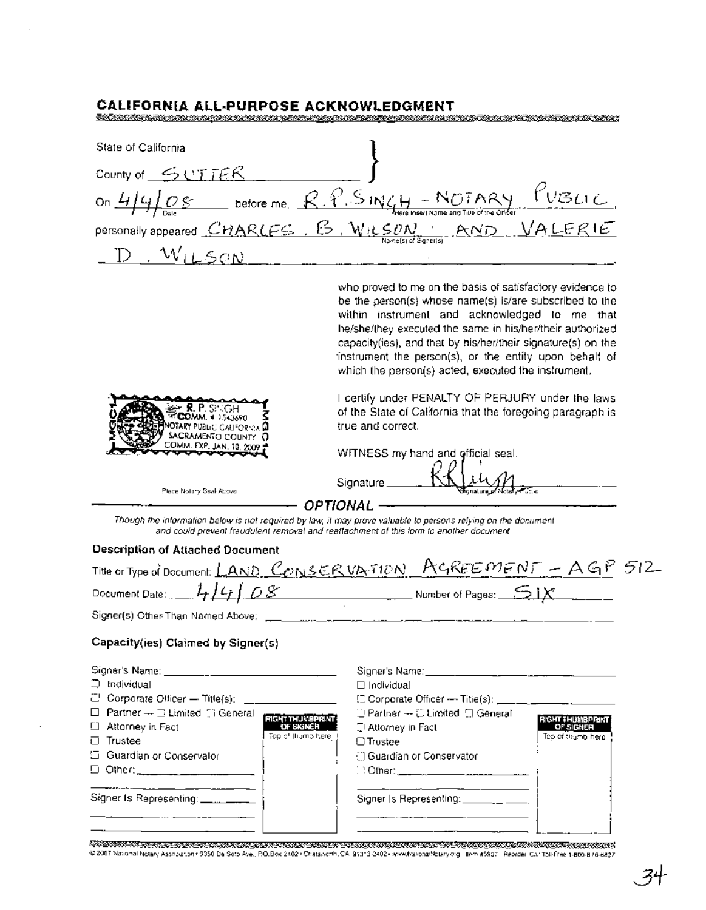| CALIFORNIA ALL-PURPOSE ACKNOWLEDGMENT                                                                                             |                                                                                                                                                                                                                                                                                                                                                                                                                                                                                                                                                                                                   |
|-----------------------------------------------------------------------------------------------------------------------------------|---------------------------------------------------------------------------------------------------------------------------------------------------------------------------------------------------------------------------------------------------------------------------------------------------------------------------------------------------------------------------------------------------------------------------------------------------------------------------------------------------------------------------------------------------------------------------------------------------|
| NOS ONAS ALEXENATO EN OPOLOGIA DE LA CORTA DE LA TRATA DE LA CONTA DE LA CORTA                                                    |                                                                                                                                                                                                                                                                                                                                                                                                                                                                                                                                                                                                   |
| State of California                                                                                                               |                                                                                                                                                                                                                                                                                                                                                                                                                                                                                                                                                                                                   |
| County of $\leq$ CTTER                                                                                                            |                                                                                                                                                                                                                                                                                                                                                                                                                                                                                                                                                                                                   |
|                                                                                                                                   | On $4/4/0$ S before me, $R.R.S INU_H - N07 ARY$ VBLIC<br>personally appeared CHARLES, B, WILSON, AND VALERIE                                                                                                                                                                                                                                                                                                                                                                                                                                                                                      |
|                                                                                                                                   |                                                                                                                                                                                                                                                                                                                                                                                                                                                                                                                                                                                                   |
| $D$ $W_{LL}$ SON                                                                                                                  |                                                                                                                                                                                                                                                                                                                                                                                                                                                                                                                                                                                                   |
| <b>R.P.S. GH</b><br><b>ECOMM</b> # 1543690<br><b>IOTARY PUBLIC CAUFORNIA D</b><br>SACRAMENTO COUNTY 0<br>COMM. EXP. JAN. 10, 2009 | who proved to me on the basis of satisfactory evidence to<br>be the person(s) whose name(s) is/are subscribed to the<br>within instrument and acknowledged to me that<br>he/she/they executed the same in his/her/their authorized<br>capacity(ies), and that by his/her/their signature(s) on the<br>instrument the person(s), or the entity upon behalf of<br>which the person(s) acted, executed the instrument.<br>I certify under PENALTY OF PERJURY under the laws<br>of the State of California that the foregoing paragraph is<br>true and correct.<br>WITNESS my hand and official seal. |
| Place Notary Seal Above                                                                                                           | Signature __                                                                                                                                                                                                                                                                                                                                                                                                                                                                                                                                                                                      |
|                                                                                                                                   | <b>OPTIONAL -</b><br>Though the information below is not required by law, it may prove valuable to persons relying on the document<br>and could prevent fraudulent removal and reaffachment of this form to another document                                                                                                                                                                                                                                                                                                                                                                      |
| <b>Description of Attached Document</b>                                                                                           |                                                                                                                                                                                                                                                                                                                                                                                                                                                                                                                                                                                                   |
|                                                                                                                                   | Title or Type of Document: <u>LAND CONSERVATION ACREEMENT</u> - AGP 512                                                                                                                                                                                                                                                                                                                                                                                                                                                                                                                           |
| Document Date: $L_1L_1$ $L_2$ $\rightarrow$ $\rightarrow$ $\rightarrow$                                                           | $\overline{\phantom{a}}$ Number of Pages: $\overline{\phantom{a}}$ ) $\overline{\phantom{a}}$                                                                                                                                                                                                                                                                                                                                                                                                                                                                                                     |

### Capacity(ies) Claimed by Signer(s)

Signer(s) Other-Than Named Above:

| $\Box$ Individual                                        | $\square$ Individual                                                                  |                         |
|----------------------------------------------------------|---------------------------------------------------------------------------------------|-------------------------|
| $\Box$ Corporate Officer - Title(s): $\Box$              | [] Corporate Officer - Titie(s); _____________                                        |                         |
| $\Box$ Partner $\rightarrow \Box$ Limited $\Box$ General | $\Box$ Partner $\rightarrow$ $\Box$ Limited $\Box$ General<br><b>RIGHT THUMBPRINT</b> | <b>RIGHT THUMBPRINT</b> |
| □ Attorney in Fact                                       | T! Attorney in Fact<br>OF SIGNER                                                      | OF SIGNER               |
| □ Trustee                                                | Top of Higmo here<br>$\Box$ Trustee                                                   | Tep of thumb here.      |
| Guardian or Conservalor                                  | <b>El Guardian or Conservator</b>                                                     |                         |
| $\Box$ Other:                                            |                                                                                       |                         |
| Signer Is Representing: _________                        | Signer Is Representing: ____________                                                  |                         |
|                                                          |                                                                                       |                         |

 $\overline{\phantom{a}}$ 

CXSICRICXI<u>NCCHATSWORTH, CHATSWORTH, CANSING ACTIONS ACTORS ACTORS ACTORS ACTORS ACTORS ACTORS ACTORS ACTORS ACTORS<br>C2007 National Notary Association: 9350 De Soto Ave., P.O. Box 2402· Chatsworth, CA. 91313-2402-www.Nation</u>

 $\overline{a}$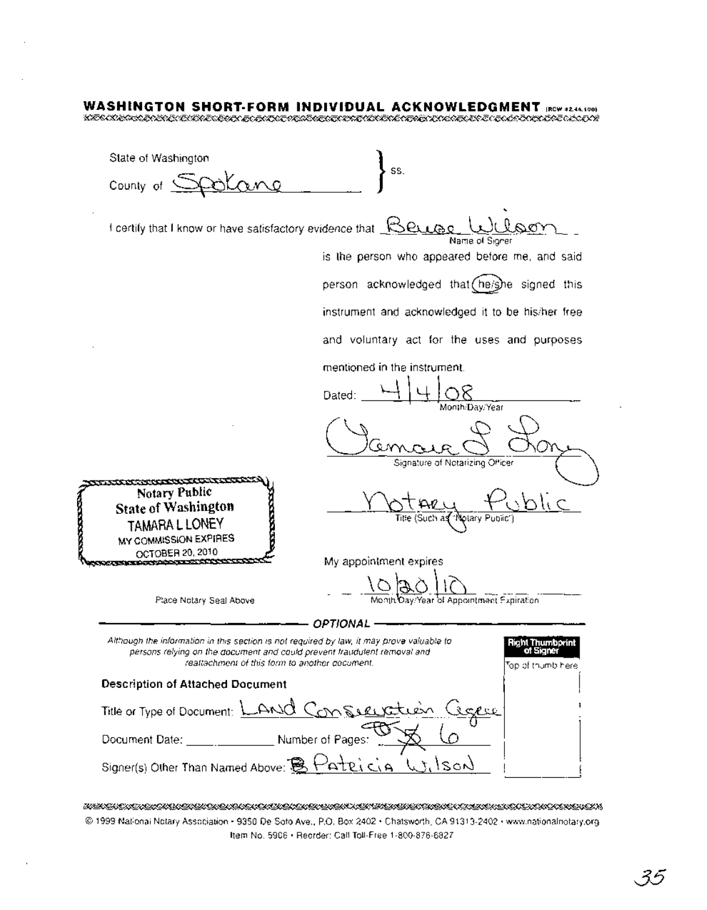### **WASHINGTON SHORT-FORM INDIVIDUAL ACKNOWLEDGMENT** IRCW42.44.100)

~~~~~~£i<!,i&)"£<7~~~~£{(~;?&r£0!iX:£&"fJ

State of Washington SS. County of  $\mathbb{C}$ O. wi<br>Wilson I certify that I know or have satisfactory evidence that  $\mathbb{R}\mathsf{e}_\mathsf{L}$ Name of Signer is the person who appeared before me, and said person acknowledged that (he/she signed this instrument and acknowledged it to be his/her free and voluntary act for the uses and purposes mentioned in the instrument. Dated: YkLIOE . Month/Day/Year (Jamara 8 D Signature of Notarizing Officer <sub>no</sub>xxec<del>ary products and</del> Notary Public State of Washington TAMARA LLONEY MY COMMISSION EXPIRES OCTOBER 20, 2010 My appointment expires Jay/Year of Appointment Expiration ------------- OPTIONAL ------------- Place Notary Seal Above Although the information in this section is not required by law, it may prove valuable to Right Thumbprint of Signer persons relying on the document and could prevent fraudulent removal and reattachment of this form to another document. Top of thumb here Description of Attached Document Title or Type of Document: LANO Com See Document Date: Number of Pages: Signer(s) Other Than Named Above:  $\&$ 

WEREN DIE BEREINSTER DIE BINDER DIE BEREIN DIE ERSTEIN DIE HEREN DIE BEREINDUNG EIN DIE BEREINDUNG ERSTERT DIE © 1999 National Notary Association· 9350 De Soto Ave., P.O. Box 2402 • Chatsworth, CA 91313-2402· www.nationalnotary.org Item No. 5906 • Reorder: Call Toll-Free 1-800-876-6827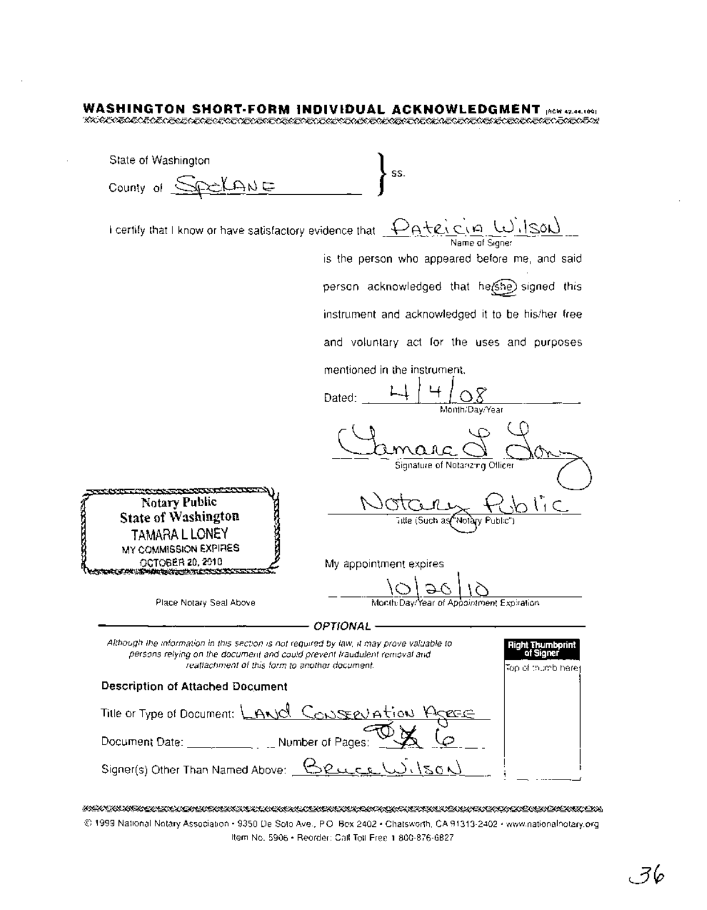### **WASHINGTON SHORT·FORM INDIVIDUAL ACKNOWLEDGMENT** IRCW42.44.1001 ~A&7£:~~~~~~~~~~A&7£<M&,!;cq~~

State of Washington SS. County of  $SPLAME$ I certify that I know or have satisfactory evidence that  $\frac{D_A + e_i \, c_i \, \rho}{\text{Name of Signer}}$ is the person who appeared before me, and said person acknowledged that he(she) signed this instrument and acknowledged it to be his/her free and voluntary act for the uses and purposes mentioned in the instrument.  $4/08$ Dated: Month/DaylYear Signature of Notarizing Officer Notary Public<br>Notary Public Notary Public<br>
State of Washingt<br>
TAMARA LLONE<br>
MY COMMISSION EXPIRENCE COTOBER 20, 2010 State of Washington , Y Public") TAMARA LLONEY MY COMMISSION EXPIRES My appointment expires Year of Appointment Expiration ------------- OPTIONAL ------------- Place Notary Seal Above Although the information in this section is not required by law, it may prove valuable to Right Thumbprint persons relying on the document and could prevent fraudulent removal and of Signer reattachment of this form to another document. Top of thumb here Description of Attached Document Title or Type of Document:  $\Box$ ANO  $\Box$ ONSEEV A Document Date:  $\frac{1}{\sqrt{2}}$  Number of Pages:  $\frac{1}{\sqrt{2}}$ Signer(s) Other Than Named Above: **Beuc**L

KER TELEVISE TILLEVENEN TELEVISEN SENTIMENTIK TILLEVISEN TELEVISEN TILLEVISEN TILLEVISEN TILLEVISEN TILLEVISE © 1999 NationalNotary Association· 9350 De Soto Ave., P.O Box 2402' Chatsworth, CA 91313-2402· www.nationalnotary.org Item No. 5906 • Reorder: Call Toll-Free 1-800-876-6827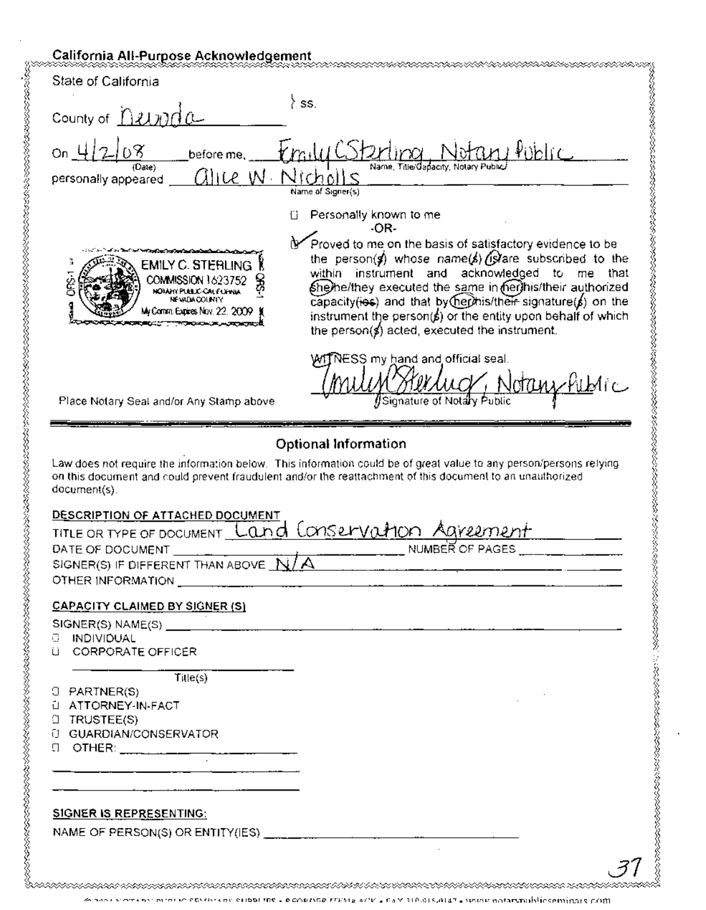### California All-Purpose Acknowledgement

| State of California                                                                                                          |                                                                                                                                                                                                                                                                                                                                                                                                                          |
|------------------------------------------------------------------------------------------------------------------------------|--------------------------------------------------------------------------------------------------------------------------------------------------------------------------------------------------------------------------------------------------------------------------------------------------------------------------------------------------------------------------------------------------------------------------|
| County of <i>1212000</i>                                                                                                     | SS.                                                                                                                                                                                                                                                                                                                                                                                                                      |
| on_4/2/08                                                                                                                    | before me. <i>[m.lu CStarting Notan Public</i>                                                                                                                                                                                                                                                                                                                                                                           |
| (Date)<br>personally appeared __ GHLC W                                                                                      | Name, Title/dapacity, Notary Public/<br>Nichalls                                                                                                                                                                                                                                                                                                                                                                         |
|                                                                                                                              | Name of Signer(s)                                                                                                                                                                                                                                                                                                                                                                                                        |
|                                                                                                                              | Personally known to me<br>-OR-                                                                                                                                                                                                                                                                                                                                                                                           |
| EMILY C. STERLING<br>COMMISSION 1623752<br>NOIANY PUELIC-CALE LINNA<br><b>NEWDACOUNTY</b><br>My Comm. Expires Nov. 22, 2009. | Proved to me on the basis of satisfactory evidence to be<br>the person(s) whose name(s) (s) are subscribed to the<br>within instrument and acknowledged to me that<br>She/he/they executed the same in her/his/their authorized<br>capacity(ies) and that by (her his/their signature(b) on the<br>instrument the person( $\sharp$ ) or the entity upon behalf of which<br>the person(s) acted, executed the instrument. |
| Place Notary Seal and/or Any Stamp above                                                                                     | ${\mathcal{M}}\widehat{\mathsf{IN}}$ ESS my hand and official seal.<br>Sterluct, Notany Public<br>Signature of Notary Public                                                                                                                                                                                                                                                                                             |
|                                                                                                                              |                                                                                                                                                                                                                                                                                                                                                                                                                          |
|                                                                                                                              | <b>Optional Information</b><br>Law does not require the information below. This information could be of great value to any person/persons relying                                                                                                                                                                                                                                                                        |
| document(s).<br>DESCRIPTION OF ATTACHED DOCUMENT                                                                             | on this document and could prevent fraudulent and/or the reattachment of this document to an unauthorized                                                                                                                                                                                                                                                                                                                |
| DATE OF DOCUMENT                                                                                                             | TITLE OR TYPE OF DOCUMENT Land Conservation Agreement<br><b>NUMBER OF PAGES</b>                                                                                                                                                                                                                                                                                                                                          |
| SIGNER(S) IF DIFFERENT THAN ABOVE $N/A$                                                                                      |                                                                                                                                                                                                                                                                                                                                                                                                                          |
|                                                                                                                              |                                                                                                                                                                                                                                                                                                                                                                                                                          |
| <b>CAPACITY CLAIMED BY SIGNER (S)</b>                                                                                        |                                                                                                                                                                                                                                                                                                                                                                                                                          |
| <b>C INDIVIDUAL</b><br>LI CORPORATE OFFICER                                                                                  |                                                                                                                                                                                                                                                                                                                                                                                                                          |
| $T\ddot{u}$ le(s)                                                                                                            |                                                                                                                                                                                                                                                                                                                                                                                                                          |
| $O$ PARTNER(S)<br>L ATTORNEY-IN-FACT                                                                                         |                                                                                                                                                                                                                                                                                                                                                                                                                          |
| $\Box$ TRUSTEE(S)                                                                                                            |                                                                                                                                                                                                                                                                                                                                                                                                                          |
| <b>U GUARDIAN/CONSERVATOR</b>                                                                                                |                                                                                                                                                                                                                                                                                                                                                                                                                          |
| ___________________                                                                                                          |                                                                                                                                                                                                                                                                                                                                                                                                                          |
| <b>SIGNER IS REPRESENTING:</b>                                                                                               |                                                                                                                                                                                                                                                                                                                                                                                                                          |
|                                                                                                                              | NAME OF PERSON(S) OR ENTITY(IES) $\frac{1}{\sqrt{1-\frac{1}{2}}}\left\{1-\frac{1}{2\sqrt{1-\frac{1}{2}}}\right\}$                                                                                                                                                                                                                                                                                                        |

money where no more networks can establishe - pichostal strate and + say 318.013.0147 - www.motarunablickeminats.com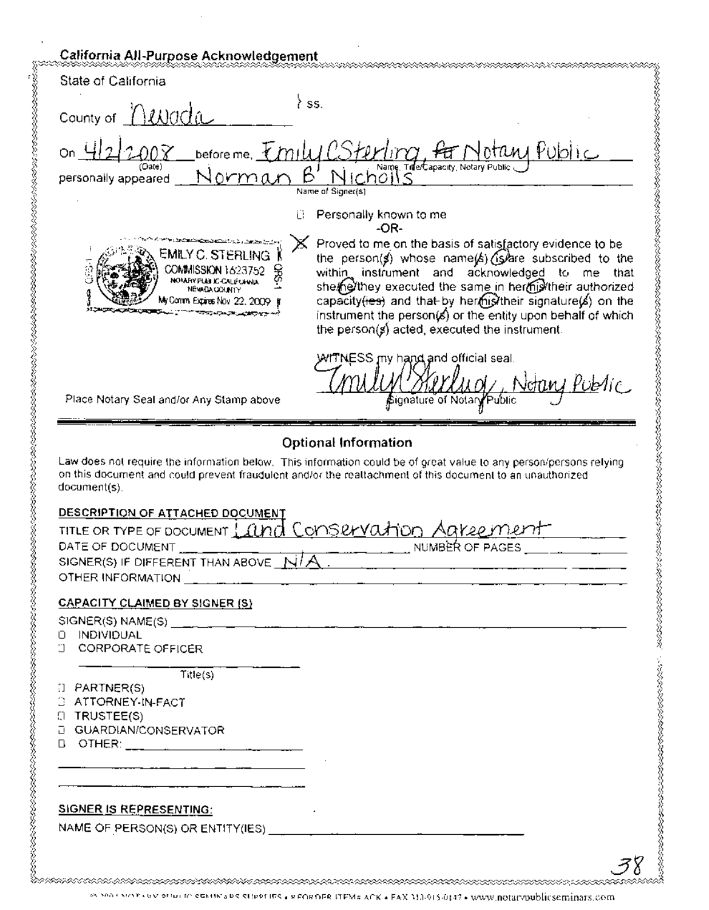| State of California                                                                                                                                         |                                                                                                                                                                                                                                                                                                                                                                                                                  |
|-------------------------------------------------------------------------------------------------------------------------------------------------------------|------------------------------------------------------------------------------------------------------------------------------------------------------------------------------------------------------------------------------------------------------------------------------------------------------------------------------------------------------------------------------------------------------------------|
|                                                                                                                                                             |                                                                                                                                                                                                                                                                                                                                                                                                                  |
| County of <u>MWada</u>                                                                                                                                      | ∤ ss.                                                                                                                                                                                                                                                                                                                                                                                                            |
|                                                                                                                                                             | on 422008 before me. Emily CSterling for Notary Public                                                                                                                                                                                                                                                                                                                                                           |
|                                                                                                                                                             | Name of Signer(s)                                                                                                                                                                                                                                                                                                                                                                                                |
|                                                                                                                                                             | Personally known to me<br>Ħ.<br>-OR-                                                                                                                                                                                                                                                                                                                                                                             |
| EMILY C. STERLING<br>COMMISSION 1623752<br>NOVARY PUBLIC-CALIFORNIA<br><b>NEWDACOUNTY</b><br>My Comm Expires Nov. 22, 2009. I                               | Proved to me on the basis of satisfactory evidence to be<br>the person(s) whose name(s) (s) are subscribed to the<br>within instrument and acknowledged to me that<br>she/he/they executed the same in her/his/their authorized<br>capacity(ies) and that by hermistheir signature(s) on the<br>instrument the person(s) or the entity upon behalf of which<br>the person( $s$ ) acted, executed the instrument. |
| Place Notary Seal and/or Any Stamp above                                                                                                                    | WITNESS my hand and official seal.<br>Круу <u>лаа</u><br>Notary Public<br>≴ignature of NotarγPublic                                                                                                                                                                                                                                                                                                              |
| document(s).<br>DESCRIPTION OF ATTACHED DOCUMENT<br>DATE OF DOCUMENT<br>SIGNER(S) IF DIFFERENT THAN ABOVE $N/R$ .                                           | on this document and could prevent fraudulent and/or the realtachment of this document to an unauthorized<br>TITLE OR TYPE OF DOCUMENT Land Conservation Agreement<br>NUMBER OF PAGES                                                                                                                                                                                                                            |
|                                                                                                                                                             |                                                                                                                                                                                                                                                                                                                                                                                                                  |
|                                                                                                                                                             |                                                                                                                                                                                                                                                                                                                                                                                                                  |
| <b>CAPACITY CLAIMED BY SIGNER (S)</b>                                                                                                                       |                                                                                                                                                                                                                                                                                                                                                                                                                  |
| D INDIVIDUAL<br><b>J CORPORATE OFFICER</b><br>Title(s)<br>$\Box$ PARTNER(S)<br>3 ATTORNEY-IN-FACT<br><b>(I) TRUSTEE(S)</b><br><b>D</b> GUARDIAN/CONSERVATOR |                                                                                                                                                                                                                                                                                                                                                                                                                  |
|                                                                                                                                                             |                                                                                                                                                                                                                                                                                                                                                                                                                  |
| <b>SIGNER IS REPRESENTING:</b>                                                                                                                              |                                                                                                                                                                                                                                                                                                                                                                                                                  |
|                                                                                                                                                             |                                                                                                                                                                                                                                                                                                                                                                                                                  |

<sup>85,500 \$</sup> vor covission clearing are stippt insige connect this ACK + FAX M3-915-0147 + www.notatypublicseminars.com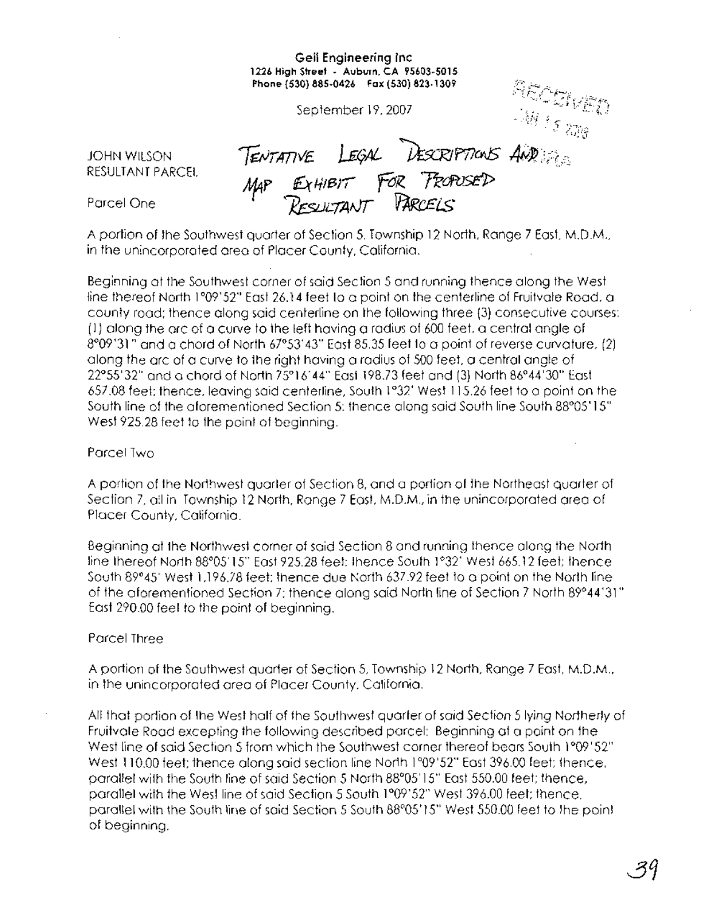### **Geil Engineering Inc 1226 High Street . Auburn. CA 95603·5015 Phone (530) 885·0426 Fax (530) 823·1309**

September 19. 2007

JOHN WILSON RESULTANT PARCEL

**Phone (530) 885-0426 Fax (530)**<br>
September 19, 2007<br> **TENTATIVE LEGAL DESCRIPTIONS**  $\overrightarrow{A}(\overrightarrow{M})$ **Aj4P** *€x/11err* **fOl<. 7TofVStJ;>** ~L/AAJT *1fArKt.Ei..S*

Parcel One

A portion of the Southwest quarter of Section 5, Township 12 North, Range 7 East, M.D.M., in the unincorporated area of Placer County, California.

Beginning at the Southwest corner of said Section 5 and running thence along the West line thereof North 1°09'52" East 26.14 feet to a point on thecenterline of Fruitvale Road, a county road; thence along said centerline on the following three (3) consecutive courses: (1) along the arc of a curve to the left having a radius of 600 feet. a central angle of 8°09'31" and a chordof North 67°53'43" East 85.35 feet to a point of reverse curvature, (2) along the arc of a curve to the right having a radius of 500 feet. a central angle of 22°55'32" and a chord of North 75°16' 44" East 198.73 feet and (3) North 86°44'30" East 657.08 feet; thence. leaving said centerline, South 1°32' West 115.26 feet to a point on the South line of the aforementioned Section 5; thence along said South line South 88°05' 15". West 925.28 feet to the point of beginning.

### Parcel Two

A portion of the Northwest quarter of Section 8, and a portion of the Northeast quarter of Section 7, all in Township 12 North, Range 7 East. M.D.M., in the unincorporated area of Placer County, California.

Beginning at the Northwest corner of said Section 8 and running thence along the North line thereof North 88°05'15" East 925.28 feet; thence South 1°32' West 665.12 feet; thence South 89°45' West 1.196.78 feet; thence due North 637.92 feet to a pointon the North line of the aforementioned Section 7; thence along said North line of Section 7 North 89°44'31" East 290.00 feet to the point of beginning.

### Parcel Three

A portion of the Southwest quarter of Section 5, Township 12 North, Range 7 East, M.D.M., in the unincorporated area of Placer County, California.

All that portion of the West half of the Southwest quarter of said Section 5 lying Northerly of Fruitvale Road excepting the following described parcel: Beginning at a point on the West line of said Section 5 from which the Southwest corner thereof bears South 1°09' 52" West 110.00 feet; thence along said section line North 1°09'52" East 396.00 feet; thence, parallel with the South line of said Section 5 North 88°05'15" East 550.00 feet; thence, parallel with the West line of said Section 5 South 1°09'52" West 396.00 feet; thence, parallel with the South line of said Section 5 South 88°05' IS" West 550.00 feet to the point of beginning.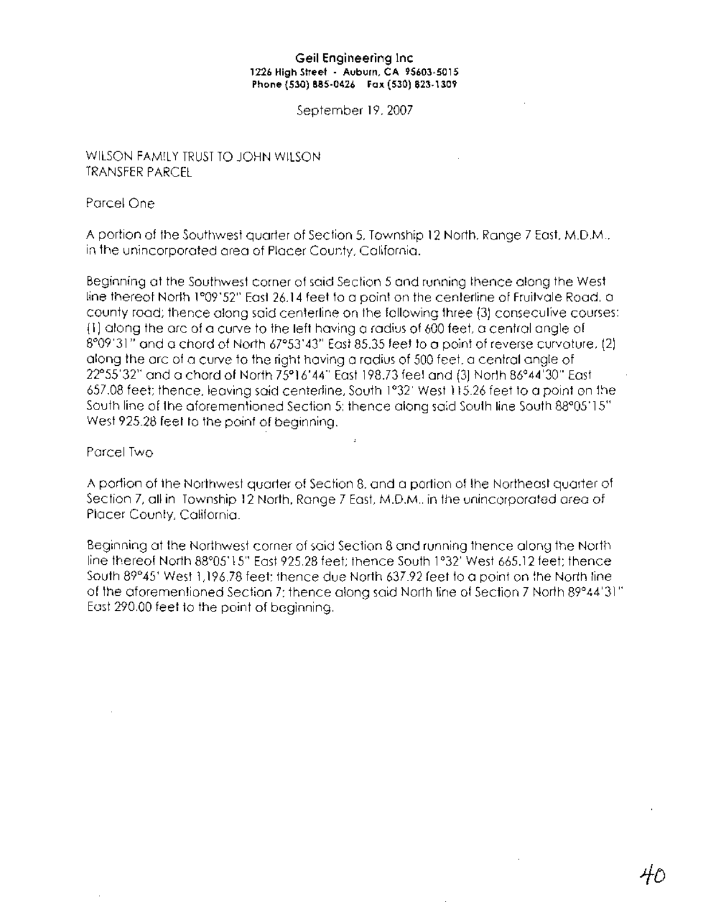### **Geil Engineering Inc 1226 High street . Auburn, CA 95603·5015 Phone (530) 885·0426 Fax (530) 823·1309**

September 19, 2007

### WILSON FAMILY TRUST TO JOHN WILSON TRANSFER PARCEL

Parcel One

A portion of the Southwest quarter of Section 5, Township 12 North, Range 7 East, M.D.M., in the unincorporated area of Placer County, California.

Beginning at the Southwest corner of said Section 5 and running thence along the West line thereof North 1°09'52" East 26.14 feet to a point on the centerline of Fruitvale Road, a county road; thence along said centerline on the following three (3) consecutive courses: (1 ) along the arc of a curve to the left having a radius of 600 feet, a central angle of 8°09'31" and <sup>a</sup> chord of North 67°53'43" East 85.35 feet to a point of reverse curvature, (2) along the arc of a curve to the right having a radius of 500 feet, a central angle of 22°55'32" and a chord of North 75°16'44" East 198.73 feet and (3) North 86°44'30" East 657.08 feet; thence, leaving said centerline, South 1°32' West 115.26 feet to a point on the South line of the aforementioned Section 5; thence along said South line South 88°05'15" West 925.28 feet to the point of beginning.

Parcel Two

A portion of the Northwest quarter of Section 8, and a portion of the Northeast quarter of Section 7, all in Township 12 North, Range 7 East, M.D.M.. in the unincorporated area of Placer County, California.

Beginning at the Northwest corner of said Section 8 and running thence along the North line thereof North 88°05' 15" East 925.28 feet; thence South 1°32' West 665.12 feet; thence South 89°45' West 1,196.78 feet; thence due North 637.92 feet to a point on the North line of the aforementioned Section 7; thence along said North line of Section 7 North 89°44'31" East 290.00 feet to the point of beginning.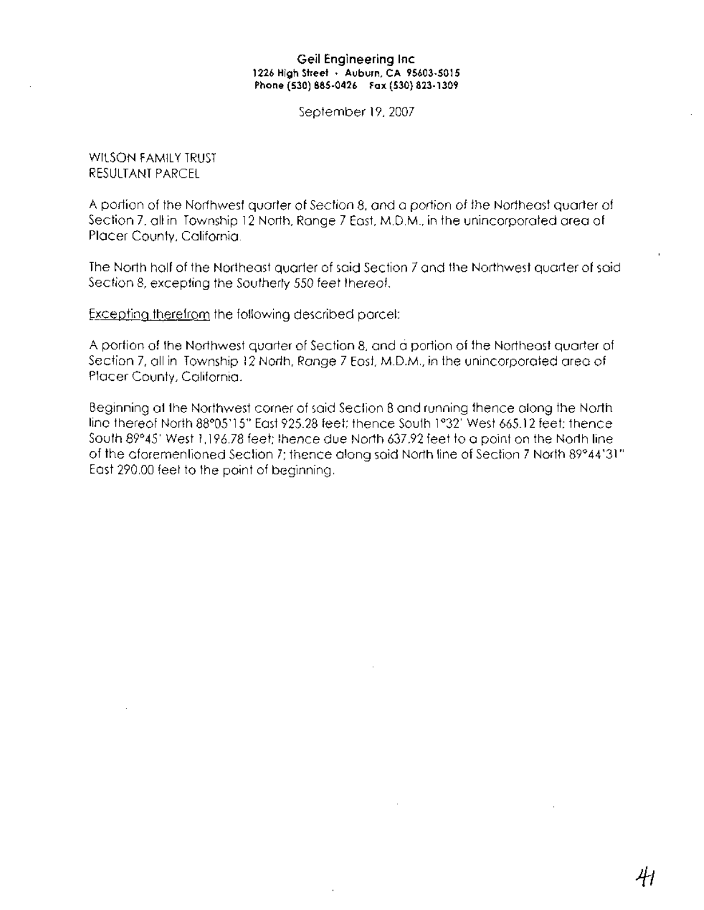### **Geil Engineering Inc 1226 High Street . Auburn, CA 95603·5015 Phone (530) 885·0426 Fax (530) 823·1309**

September 19,2007

WILSON FAMILY TRUST RESULTANT PARCEL

A portion of the Northwest quarter of Section 8, and a portion of the Northeast quarter of Section 7, all in Township 12 North, Range 7 East. M.D.M., **in** the unincorporated area of Placer County, California.

The North half of the Northeast quarter of said Section 7 and the Northwest quarter of said Section 8, excepting the Southerly 550 feet thereof.

Excepting therefrom the following described parcel:

A portion of the Northwest quarter of Section 8, and ci portion of the Northeast quarter of Section 7, all in Township 12 North, Range 7 East, M.D.M., in the unincorporated area of Placer County, California.

Beginning at the Northwest corner of said Section 8 and running thence along the North line thereof North 88°05'15" East 925.28 feet: thence South 1°32' West 665.12 feet; thence South 89°45' West 1,196.78 feet; thence due North 637.92 feet to a point on the North line of the aforementioned Section 7; thence along said North line of Section 7 North 89°44'31" East 290.00 feet to the point of beginning.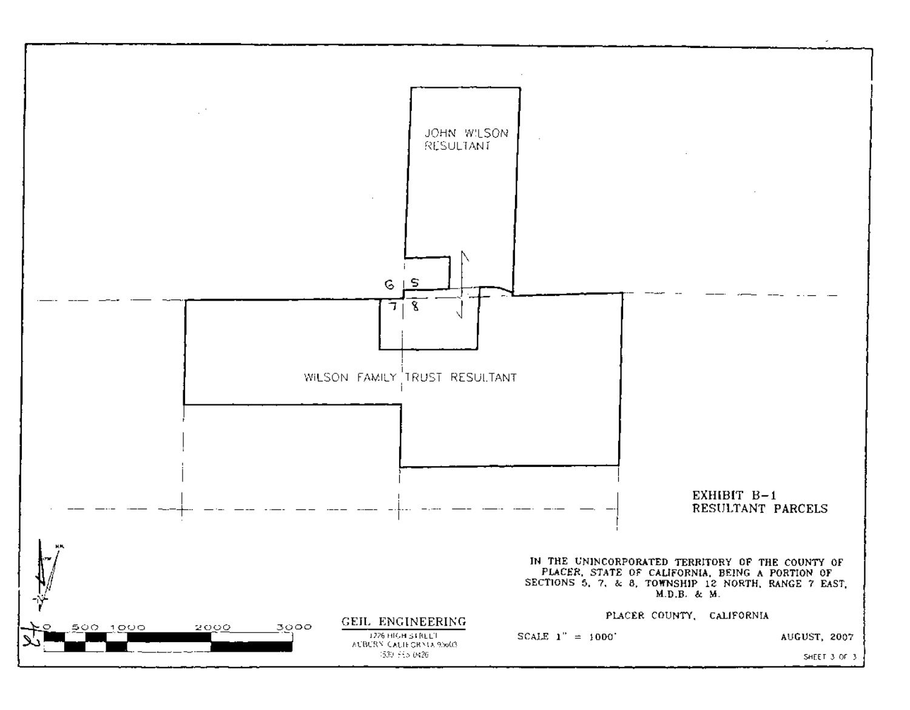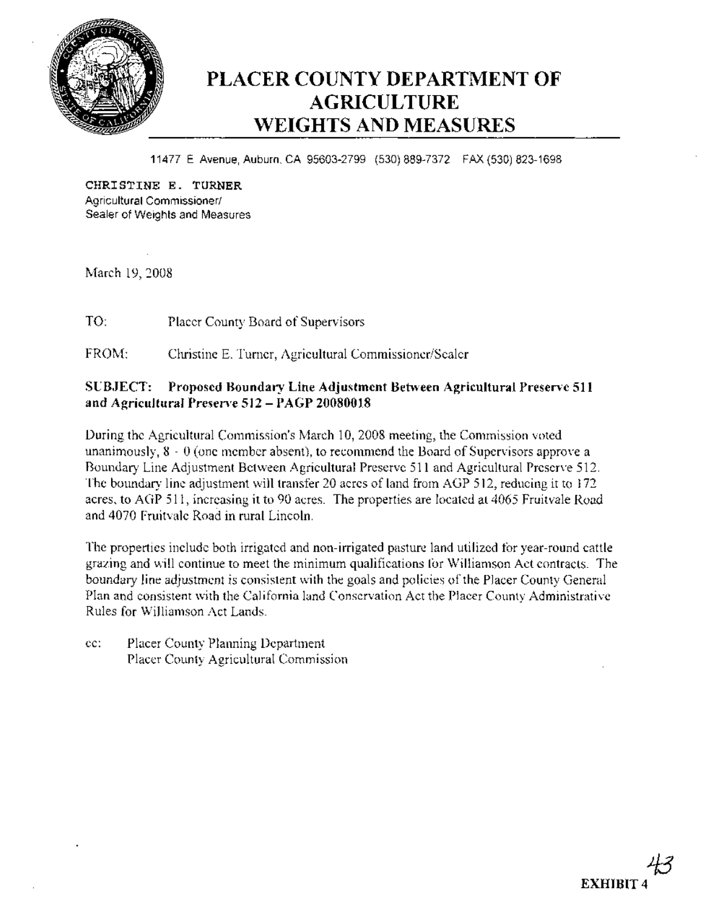

## **PLACER COUNTY DEPARTMENT OF AGRICULTURE WEIGHTS AND MEASURES**

11477 E Avenue, Auburn, CA 95603-2799 (530) 889-7372 FAX (530) 823-1698

**CHRISTINE E. TURNER** Agricultural Commissioner/ Sealer of Weights and Measures

March 19,2008

TO: Placer County Board of Supervisors

FROM: Christine E. Turner, Agricultural Commissioner/Sealer

### **SUBJECT: Proposed Boundary Line Adjustment Between Agricultural Preserve 511 and Agricultural Preserve 512 - PAGP 20080018**

During the Agricultural Commission's March 10, 2008 meeting, the Commission voted unanimously,  $8 - 0$  (one member absent), to recommend the Board of Supervisors approve a Boundary Line Adjustment Between Agricultural Preserve 511 and Agricultural Preserve 512. The boundary line adjustment will transfer 20 acres of land from AGP 512, reducing it to 172 acres, to AGP 511, increasing it to 90 acres. The properties are located at 4065 Fruitvale Road and 4070 Fruitvale Road in rural Lincoln.

The properties include both irrigated and non-irrigated pasture land utilized for year-round cattle grazing and will continue to meet the minimum qualifications for Williamson Act contracts. The boundary line adjustment is consistent with the goals and policies of the Placer County General Plan and consistent with the California land Conservation Act the Placer County Administrative Rules for Williamson Act Lands.

cc: Placer County Planning Department Placer County Agricultural Commission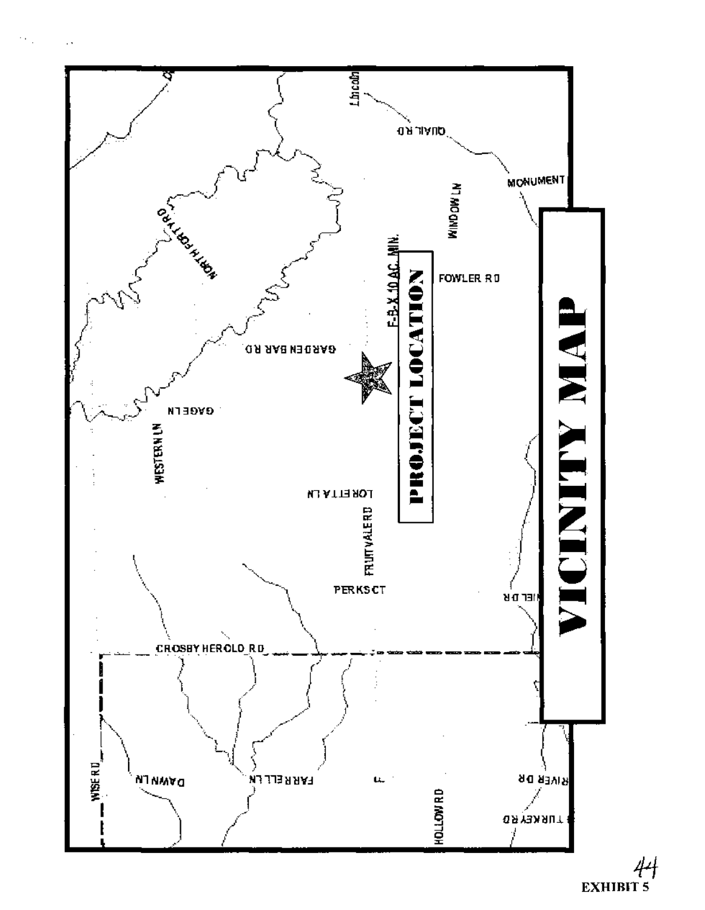

 $44$ <br>EXHIBIT 5

 $\bar{\mathcal{O}}$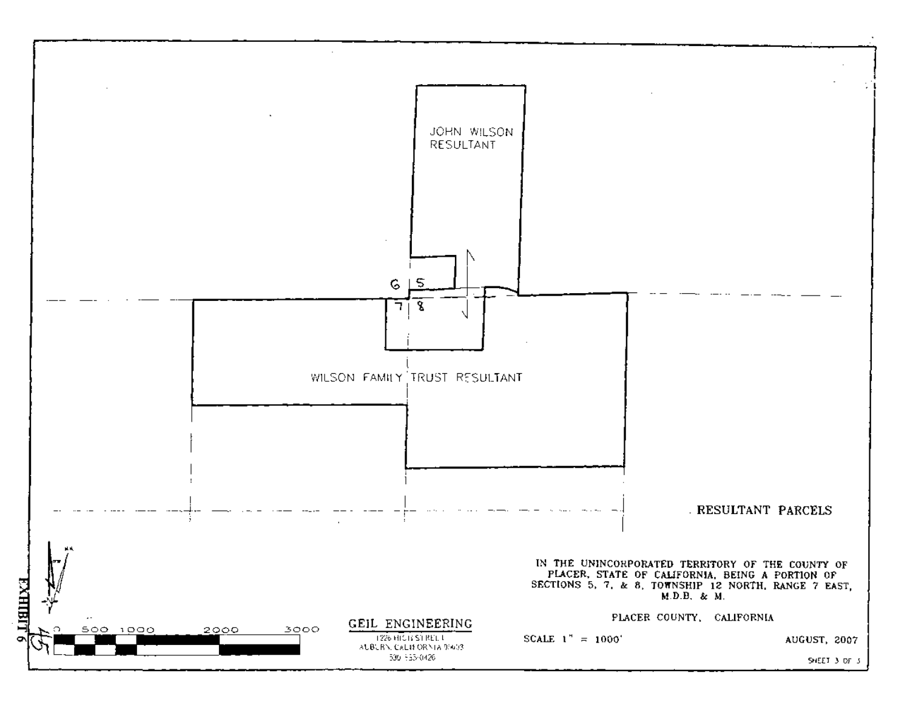